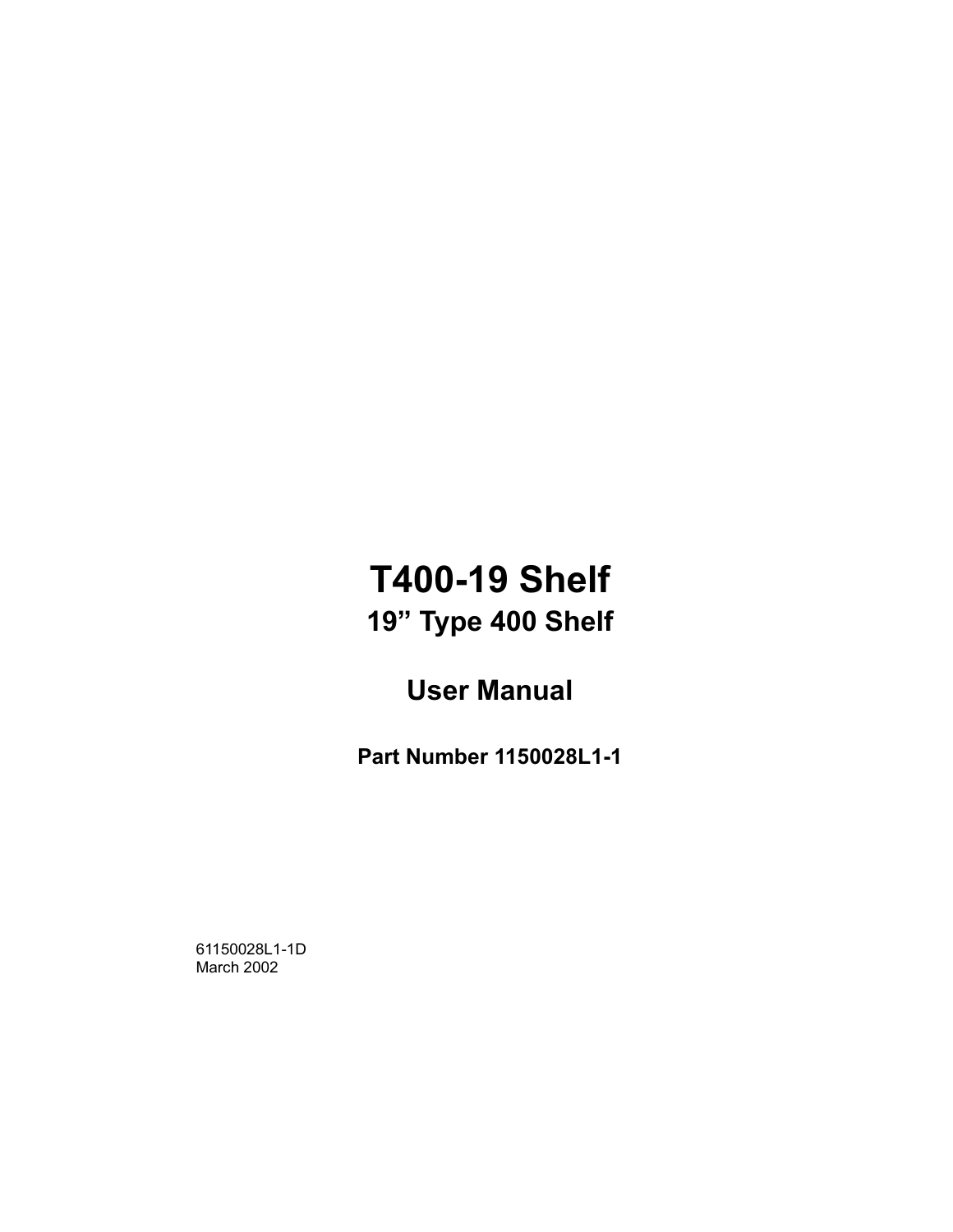## **T400-19 Shelf** 19" Type 400 Shelf

## **User Manual**

**Part Number 1150028L1-1** 

61150028L1-1D March 2002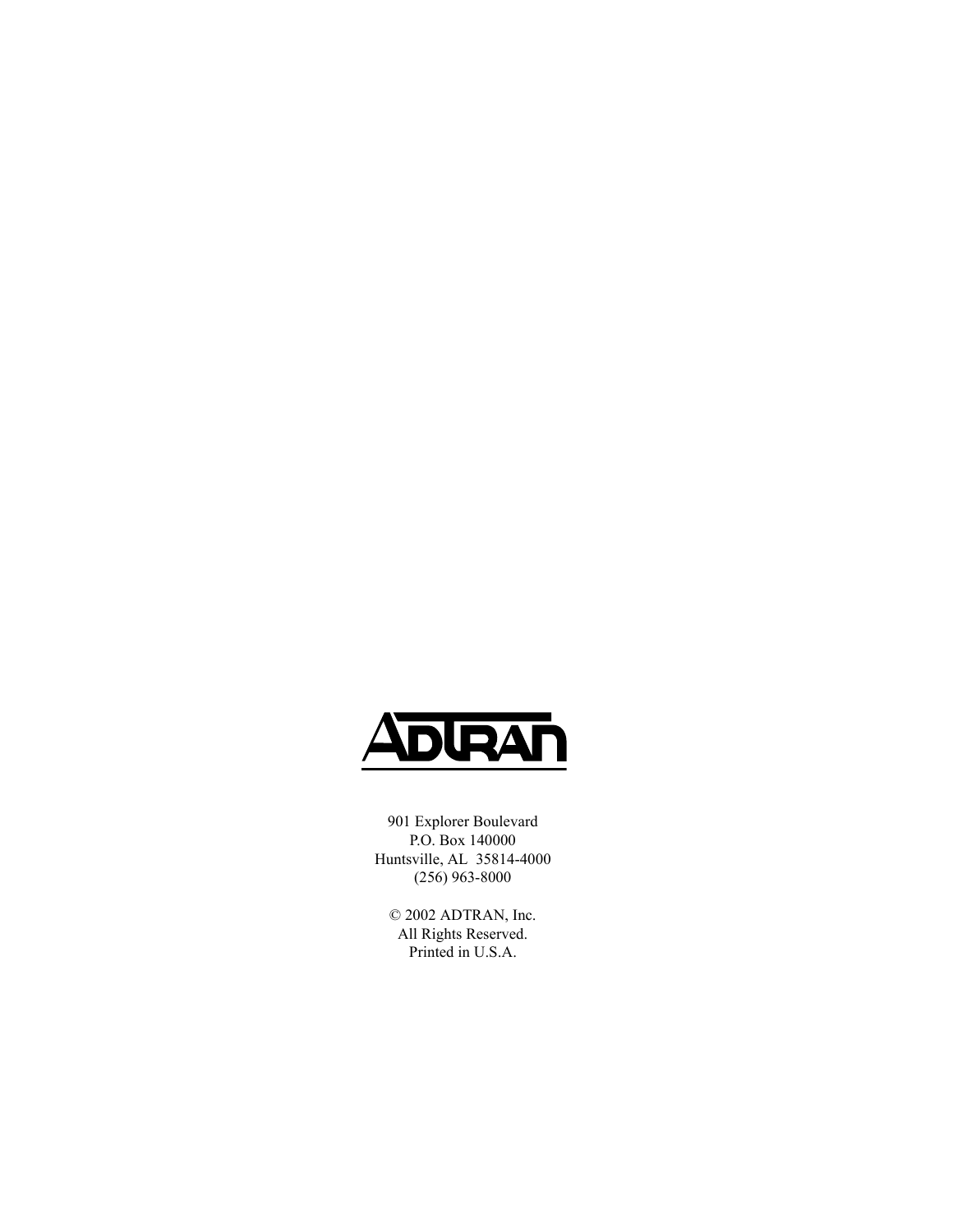<span id="page-1-0"></span>

901 Explorer Boulevard P.O. Box 140000 Huntsville, AL 35814-4000 (256) 963-8000

© 2002 ADTRAN, Inc. All Rights Reserved. Printed in U.S.A.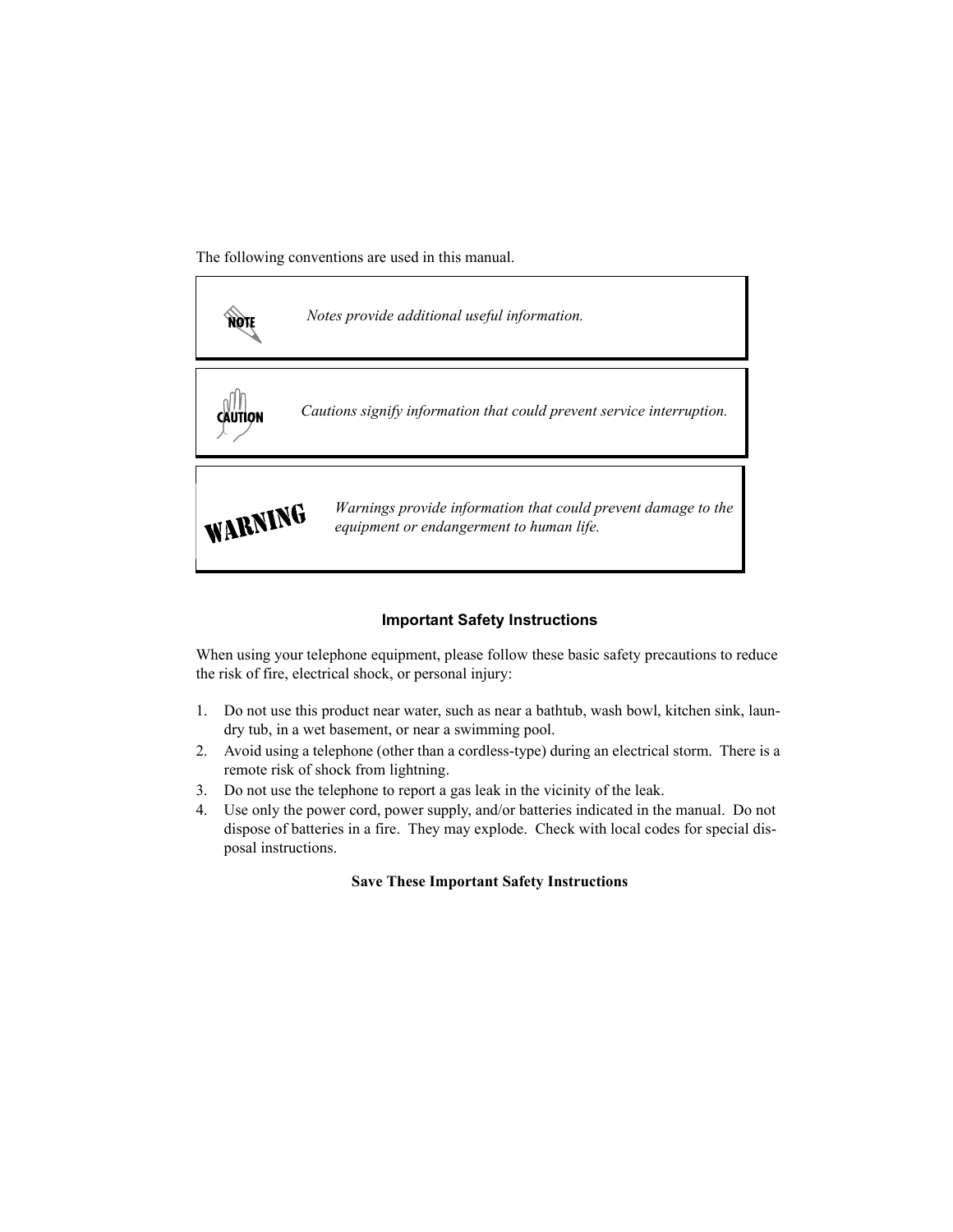The following conventions are used in this manual.



*Notes provide additional useful information.*



*Cautions signify information that could prevent service interruption.*



*Warnings provide information that could prevent damage to the equipment or endangerment to human life.*

#### **Important Safety Instructions**

When using your telephone equipment, please follow these basic safety precautions to reduce the risk of fire, electrical shock, or personal injury:

- 1. Do not use this product near water, such as near a bathtub, wash bowl, kitchen sink, laundry tub, in a wet basement, or near a swimming pool.
- 2. Avoid using a telephone (other than a cordless-type) during an electrical storm. There is a remote risk of shock from lightning.
- 3. Do not use the telephone to report a gas leak in the vicinity of the leak.
- 4. Use only the power cord, power supply, and/or batteries indicated in the manual. Do not dispose of batteries in a fire. They may explode. Check with local codes for special disposal instructions.

#### **Save These Important Safety Instructions**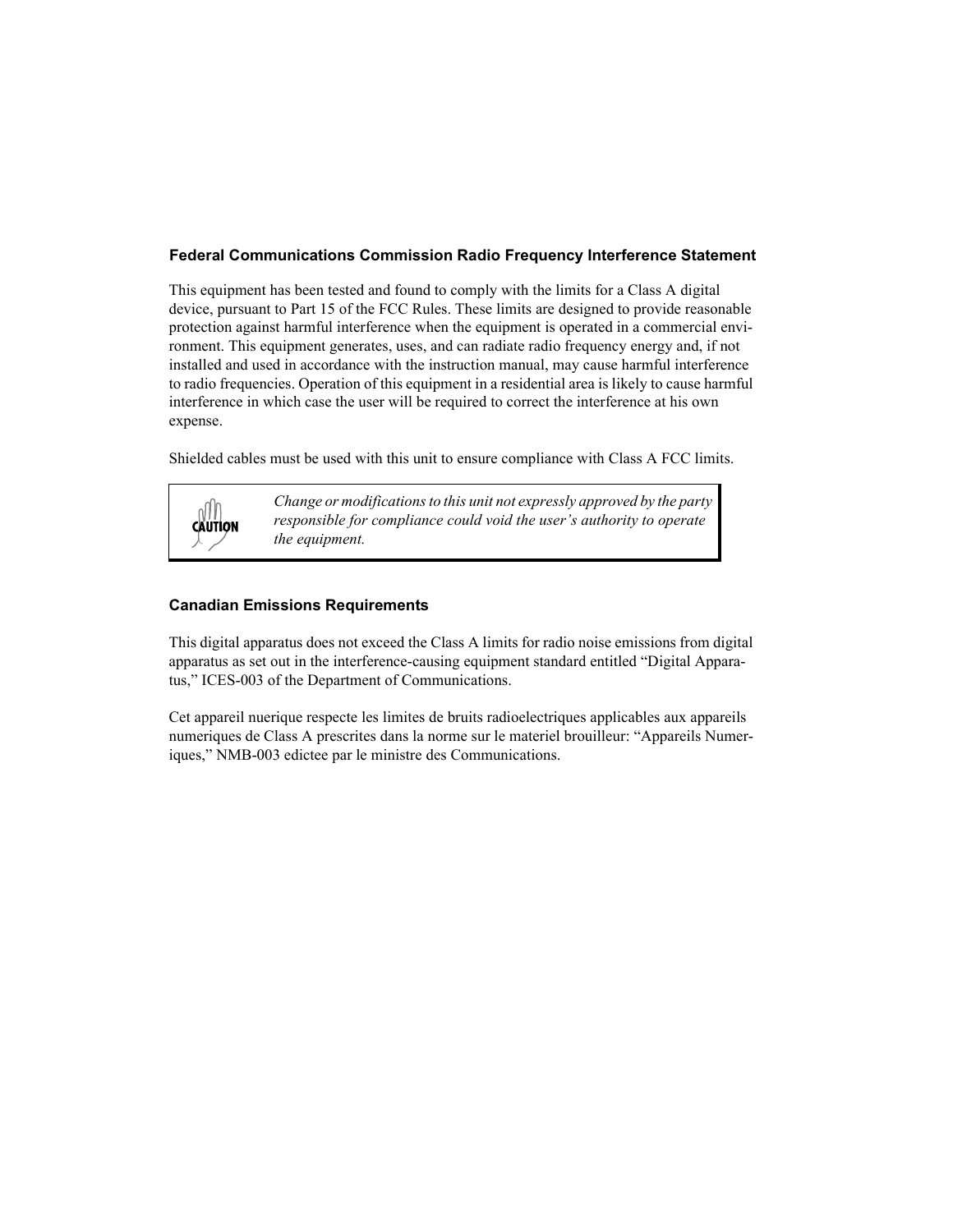#### <span id="page-3-0"></span>Federal Communications Commission Radio Frequency Interference Statement

This equipment has been tested and found to comply with the limits for a Class A digital device, pursuant to Part 15 of the FCC Rules. These limits are designed to provide reasonable protection against harmful interference when the equipment is operated in a commercial environment. This equipment generates, uses, and can radiate radio frequency energy and, if not installed and used in accordance with the instruction manual, may cause harmful interference to radio frequencies. Operation of this equipment in a residential area is likely to cause harmful interference in which case the user will be required to correct the interference at his own expense.

Shielded cables must be used with this unit to ensure compliance with Class A FCC limits.



*Change or modifications to this unit not expressly approved by the party responsible for compliance could void the user's authority to operate the equipment.*

#### **Canadian Emissions Requirements**

This digital apparatus does not exceed the Class A limits for radio noise emissions from digital apparatus as set out in the interference-causing equipment standard entitled "Digital Apparatus," ICES-003 of the Department of Communications.

Cet appareil nuerique respecte les limites de bruits radioelectriques applicables aux appareils numeriques de Class A prescrites dans la norme sur le materiel brouilleur: "Appareils Numeriques," NMB-003 edictee par le ministre des Communications.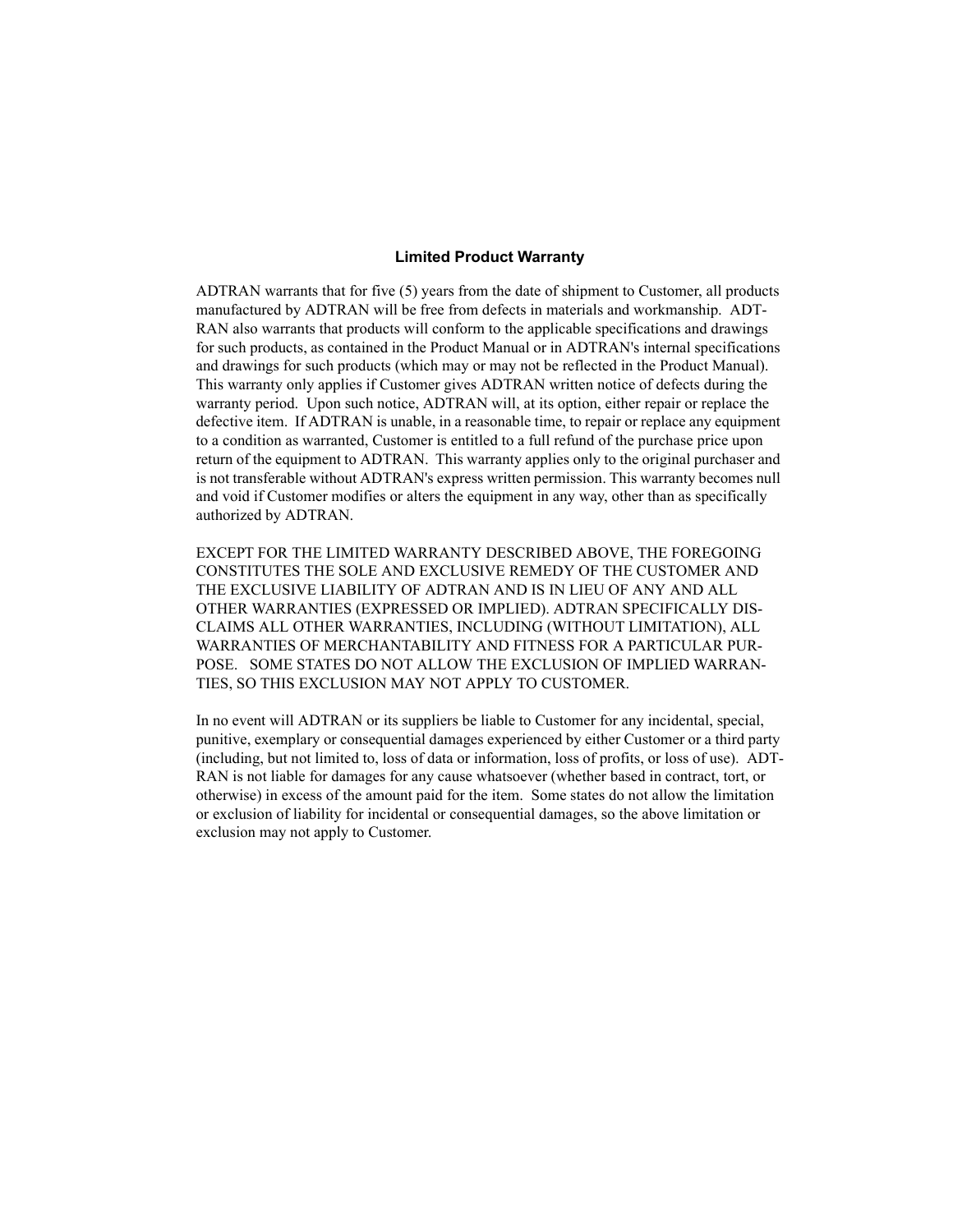#### <span id="page-4-0"></span>**Limited Product Warranty**

ADTRAN warrants that for five (5) years from the date of shipment to Customer, all products manufactured by ADTRAN will be free from defects in materials and workmanship. ADT-RAN also warrants that products will conform to the applicable specifications and drawings for such products, as contained in the Product Manual or in ADTRAN's internal specifications and drawings for such products (which may or may not be reflected in the Product Manual). This warranty only applies if Customer gives ADTRAN written notice of defects during the warranty period. Upon such notice, ADTRAN will, at its option, either repair or replace the defective item. If ADTRAN is unable, in a reasonable time, to repair or replace any equipment to a condition as warranted, Customer is entitled to a full refund of the purchase price upon return of the equipment to ADTRAN. This warranty applies only to the original purchaser and is not transferable without ADTRAN's express written permission. This warranty becomes null and void if Customer modifies or alters the equipment in any way, other than as specifically authorized by ADTRAN.

EXCEPT FOR THE LIMITED WARRANTY DESCRIBED ABOVE, THE FOREGOING CONSTITUTES THE SOLE AND EXCLUSIVE REMEDY OF THE CUSTOMER AND THE EXCLUSIVE LIABILITY OF ADTRAN AND IS IN LIEU OF ANY AND ALL OTHER WARRANTIES (EXPRESSED OR IMPLIED). ADTRAN SPECIFICALLY DIS-CLAIMS ALL OTHER WARRANTIES, INCLUDING (WITHOUT LIMITATION), ALL WARRANTIES OF MERCHANTABILITY AND FITNESS FOR A PARTICULAR PUR-POSE. SOME STATES DO NOT ALLOW THE EXCLUSION OF IMPLIED WARRAN-TIES, SO THIS EXCLUSION MAY NOT APPLY TO CUSTOMER.

In no event will ADTRAN or its suppliers be liable to Customer for any incidental, special, punitive, exemplary or consequential damages experienced by either Customer or a third party (including, but not limited to, loss of data or information, loss of profits, or loss of use). ADT-RAN is not liable for damages for any cause whatsoever (whether based in contract, tort, or otherwise) in excess of the amount paid for the item. Some states do not allow the limitation or exclusion of liability for incidental or consequential damages, so the above limitation or exclusion may not apply to Customer.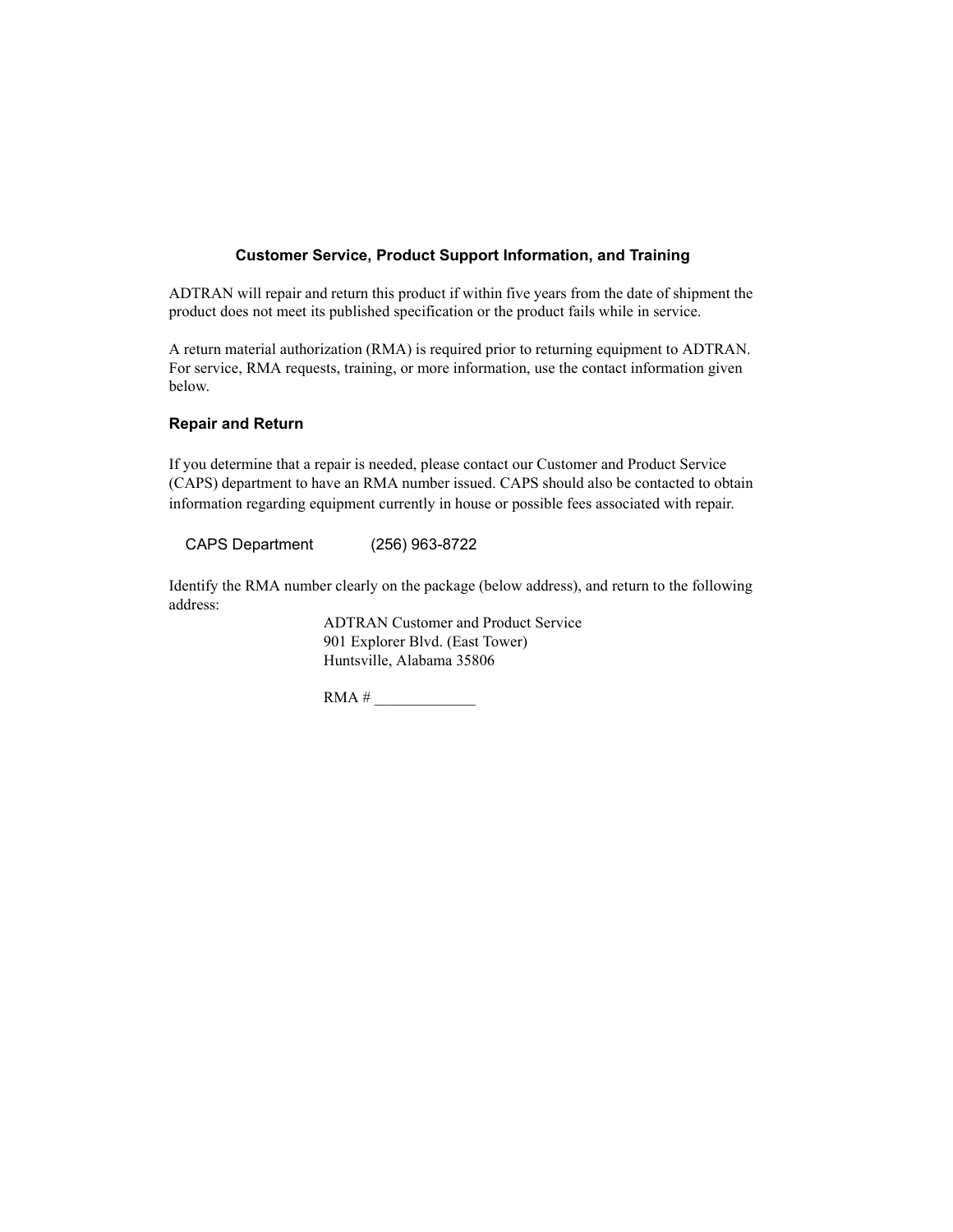#### Customer Service, Product Support Information, and Training

ADTRAN will repair and return this product if within five years from the date of shipment the product does not meet its published specification or the product fails while in service.

A return material authorization (RMA) is required prior to returning equipment to ADTRAN. For service, RMA requests, training, or more information, use the contact information given below.

#### Repair and Return

If you determine that a repair is needed, please contact our Customer and Product Service (CAPS) department to have an RMA number issued. CAPS should also be contacted to obtain information regarding equipment currently in house or possible fees associated with repair.

CAPS Department (256) 963-8722

Identify the RMA number clearly on the package (below address), and return to the following address:

> ADTRAN Customer and Product Service 901 Explorer Blvd. (East Tower) Huntsville, Alabama 35806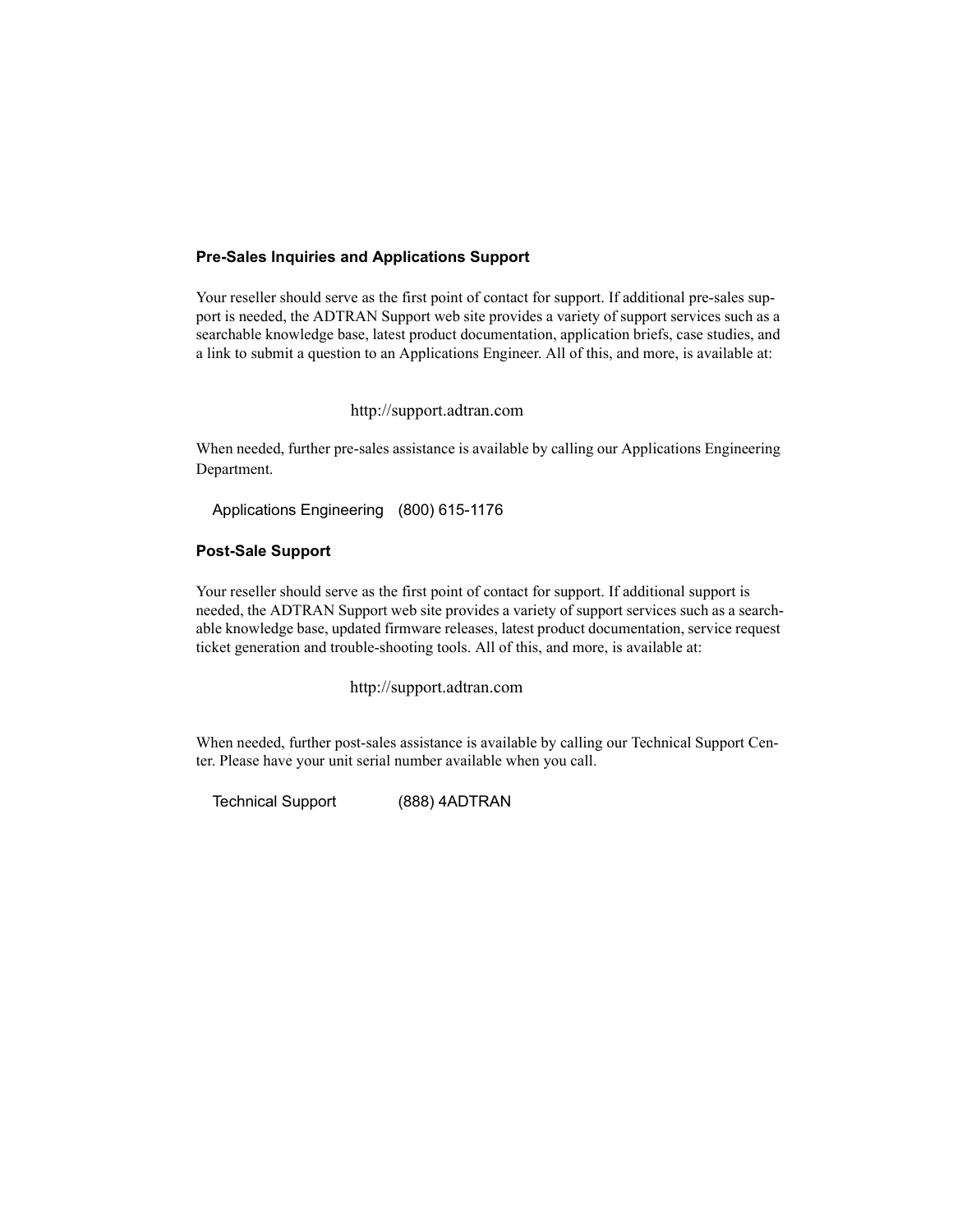#### **Pre-Sales Inquiries and Applications Support**

Your reseller should serve as the first point of contact for support. If additional pre-sales support is needed, the ADTRAN Support web site provides a variety of support services such as a searchable knowledge base, latest product documentation, application briefs, case studies, and a link to submit a question to an Applications Engineer. All of this, and more, is available at:

http://support.adtran.com

When needed, further pre-sales assistance is available by calling our Applications Engineering Department.

Applications Engineering (800) 615-1176

#### Post-Sale Support

Your reseller should serve as the first point of contact for support. If additional support is needed, the ADTRAN Support web site provides a variety of support services such as a searchable knowledge base, updated firmware releases, latest product documentation, service request ticket generation and trouble-shooting tools. All of this, and more, is available at:

http://support.adtran.com

When needed, further post-sales assistance is available by calling our Technical Support Center. Please have your unit serial number available when you call.

Technical Support (888) 4ADTRAN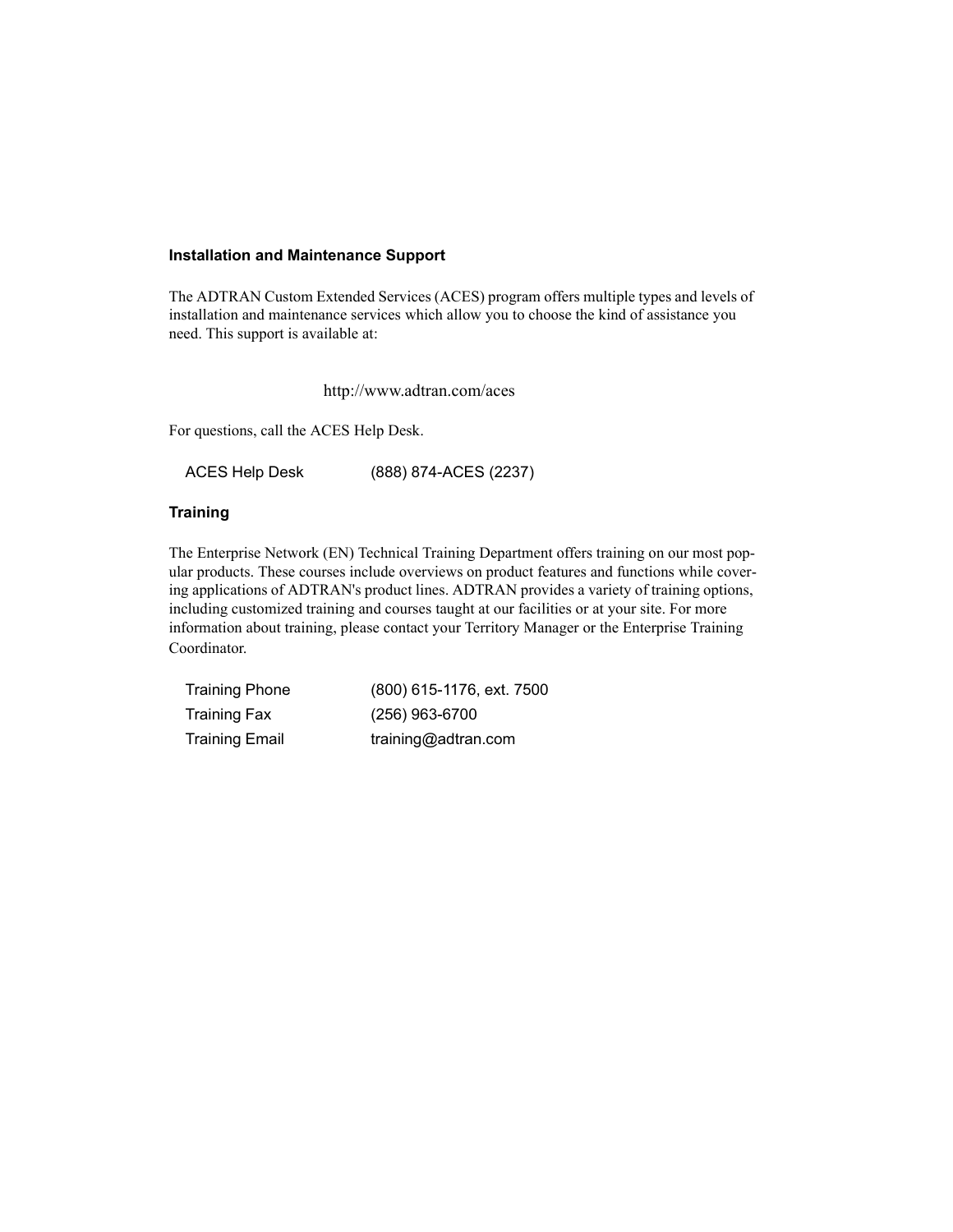#### **Installation and Maintenance Support**

The ADTRAN Custom Extended Services (ACES) program offers multiple types and levels of installation and maintenance services which allow you to choose the kind of assistance you need. This support is available at:

http://www.adtran.com/aces

For questions, call the ACES Help Desk.

ACES Help Desk (888) 874-ACES (2237)

#### **Training**

The Enterprise Network (EN) Technical Training Department offers training on our most popular products. These courses include overviews on product features and functions while covering applications of ADTRAN's product lines. ADTRAN provides a variety of training options, including customized training and courses taught at our facilities or at your site. For more information about training, please contact your Territory Manager or the Enterprise Training Coordinator.

| <b>Training Phone</b> | (800) 615-1176, ext. 7500 |
|-----------------------|---------------------------|
| <b>Training Fax</b>   | $(256)$ 963-6700          |
| <b>Training Email</b> | training@adtran.com       |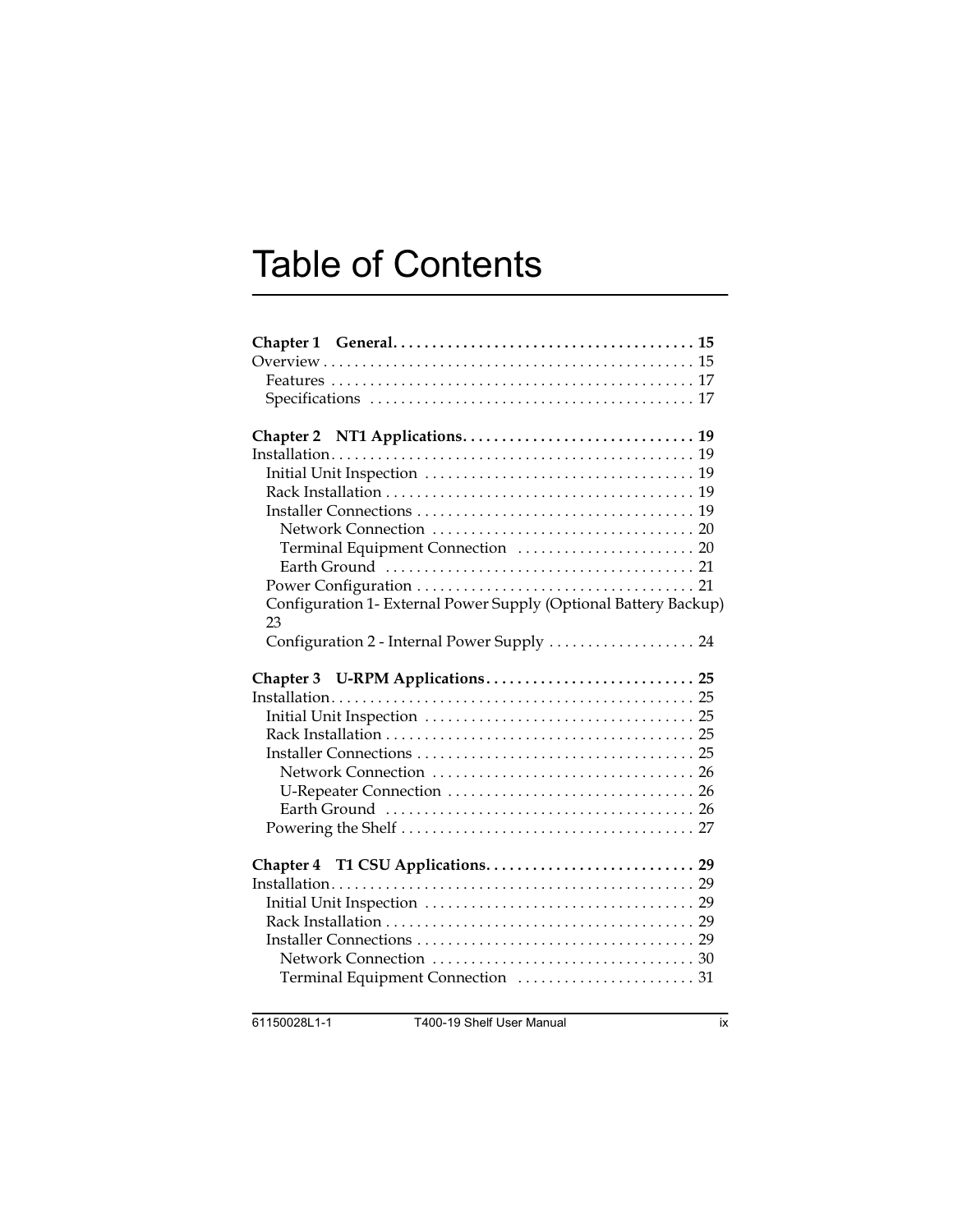# **Table of Contents**

| Configuration 1- External Power Supply (Optional Battery Backup)                     |
|--------------------------------------------------------------------------------------|
| 23<br>Configuration 2 - Internal Power Supply  24<br>Chapter 3 U-RPM Applications 25 |
|                                                                                      |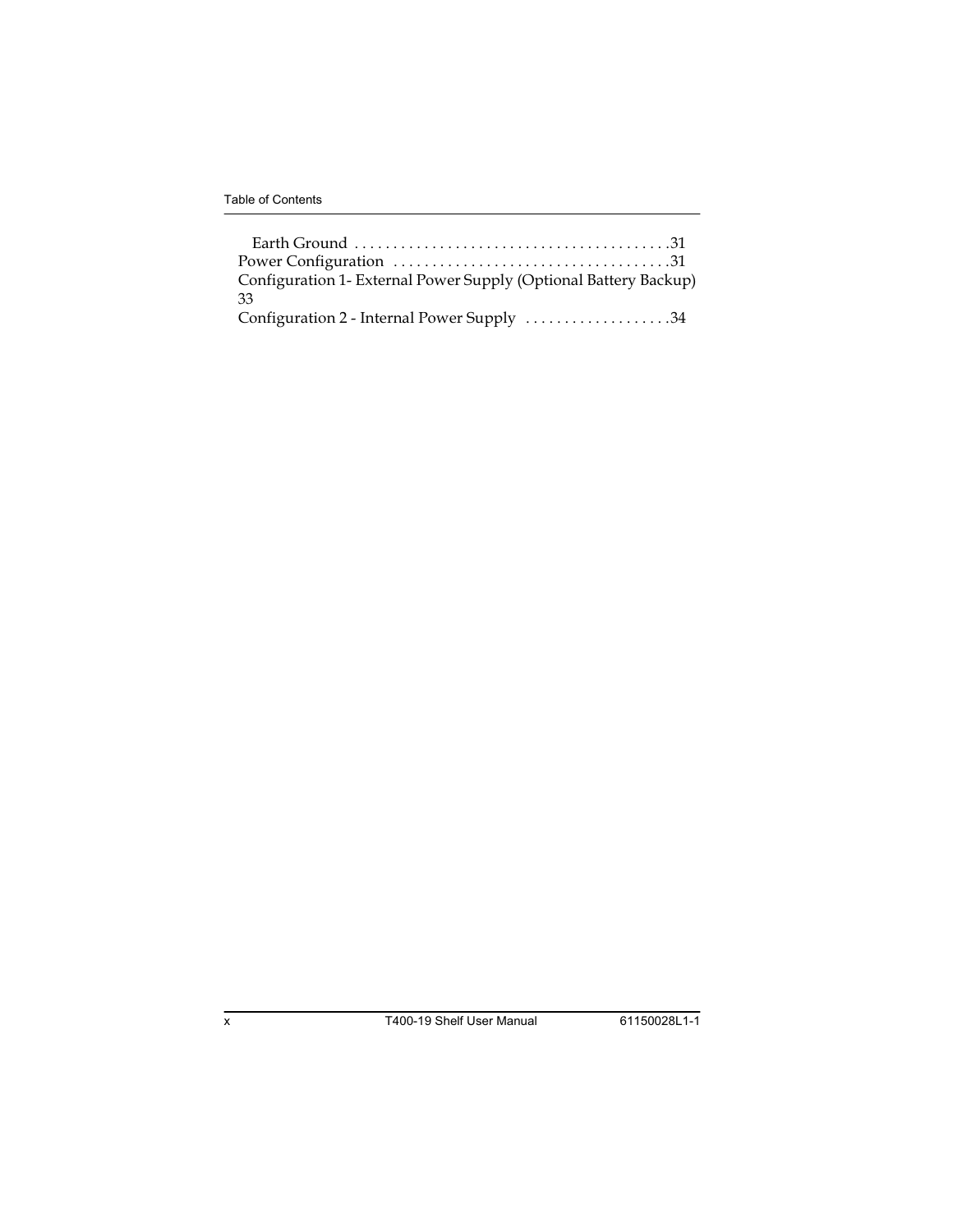| Configuration 1- External Power Supply (Optional Battery Backup) |  |
|------------------------------------------------------------------|--|
| 33                                                               |  |
| Configuration 2 - Internal Power Supply 34                       |  |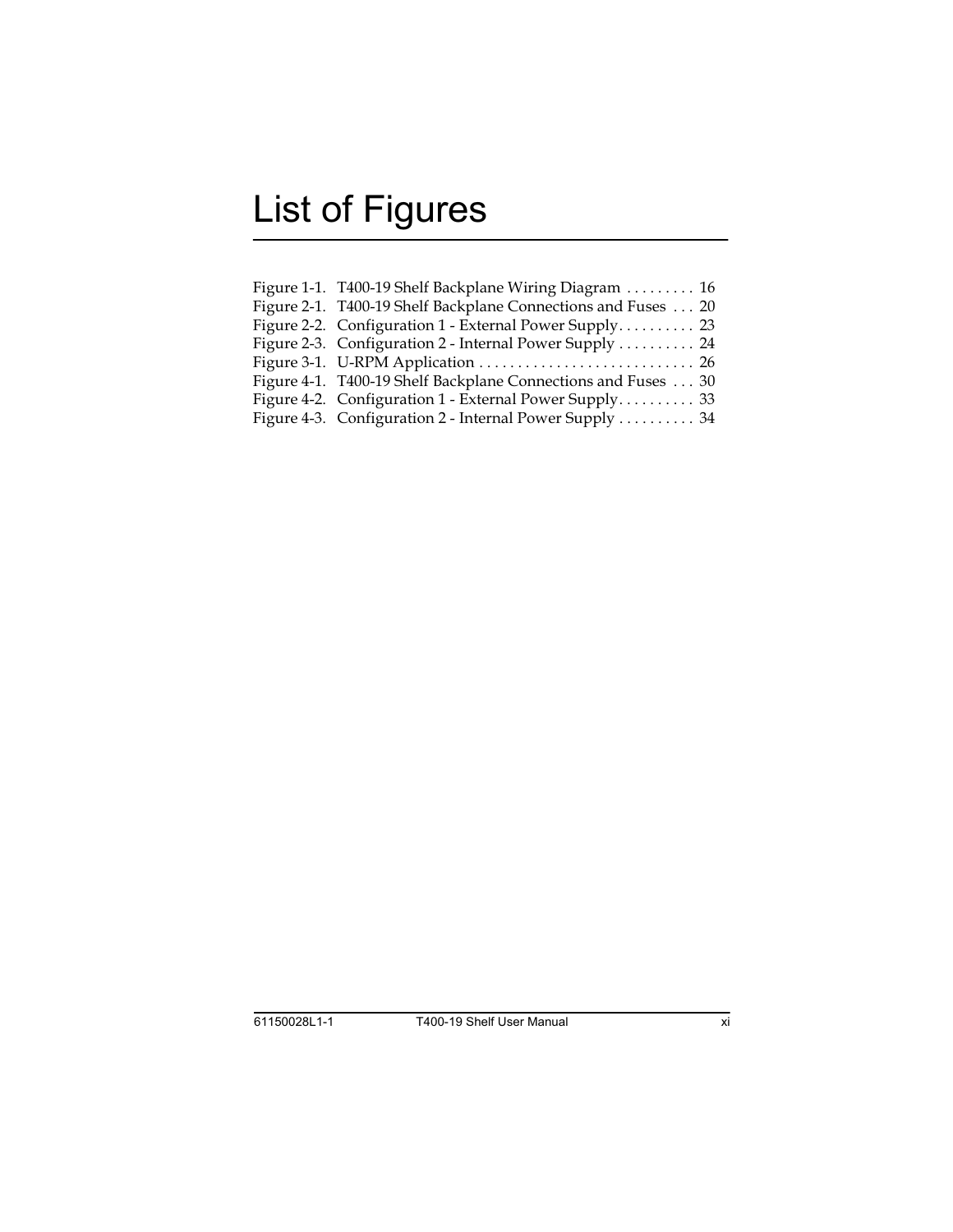# **List of Figures**

| Figure 1-1. T400-19 Shelf Backplane Wiring Diagram  16        |
|---------------------------------------------------------------|
| Figure 2-1. T400-19 Shelf Backplane Connections and Fuses  20 |
| Figure 2-2. Configuration 1 - External Power Supply 23        |
| Figure 2-3. Configuration 2 - Internal Power Supply 24        |
|                                                               |
| Figure 4-1. T400-19 Shelf Backplane Connections and Fuses 30  |
| Figure 4-2. Configuration 1 - External Power Supply 33        |
| Figure 4-3. Configuration 2 - Internal Power Supply  34       |
|                                                               |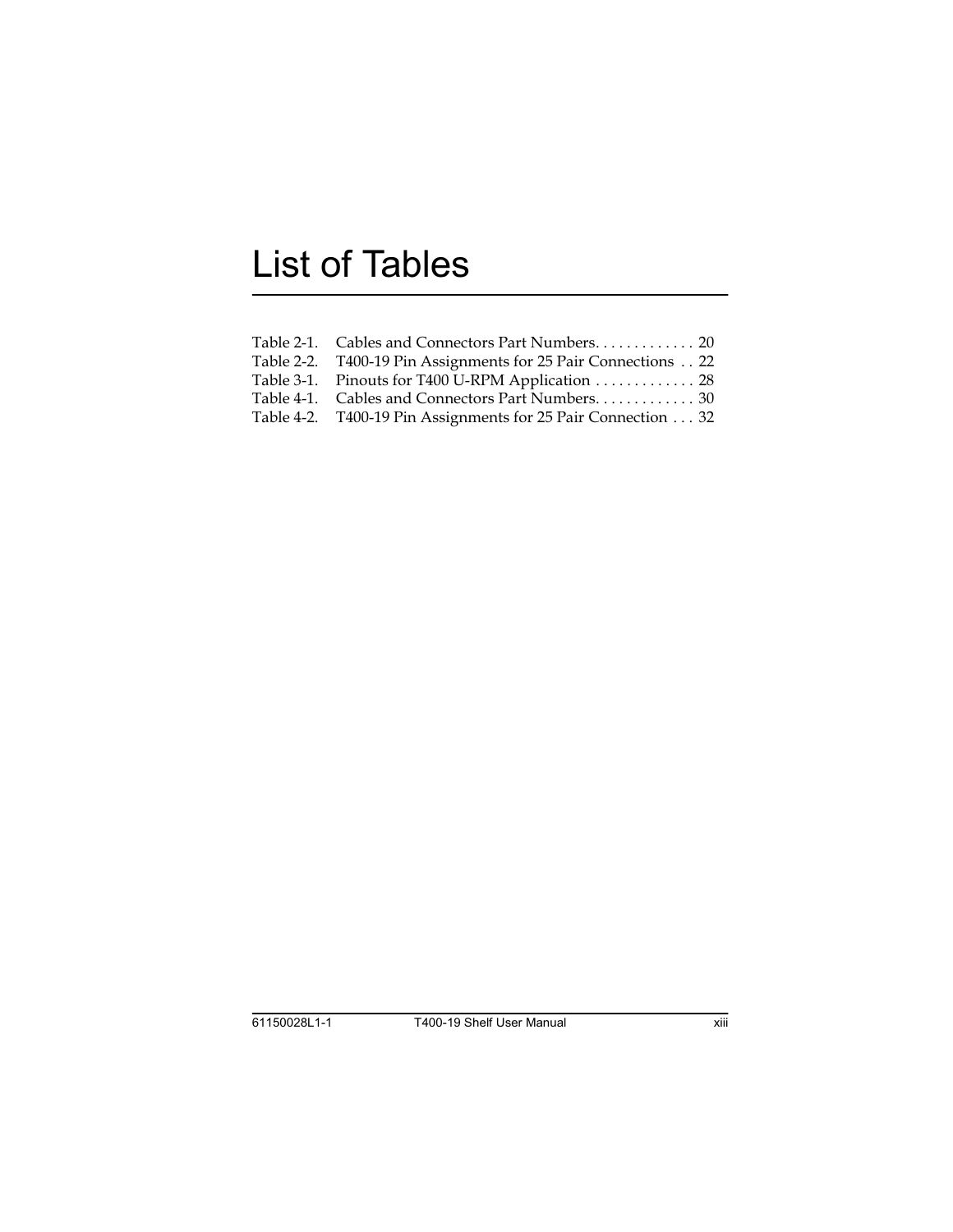## **List of Tables**

| Table 2-1. Cables and Connectors Part Numbers. 20             |  |
|---------------------------------------------------------------|--|
| Table 2-2. T400-19 Pin Assignments for 25 Pair Connections 22 |  |
| Table 3-1. Pinouts for T400 U-RPM Application  28             |  |
| Table 4-1. Cables and Connectors Part Numbers 30              |  |
| Table 4-2. T400-19 Pin Assignments for 25 Pair Connection 32  |  |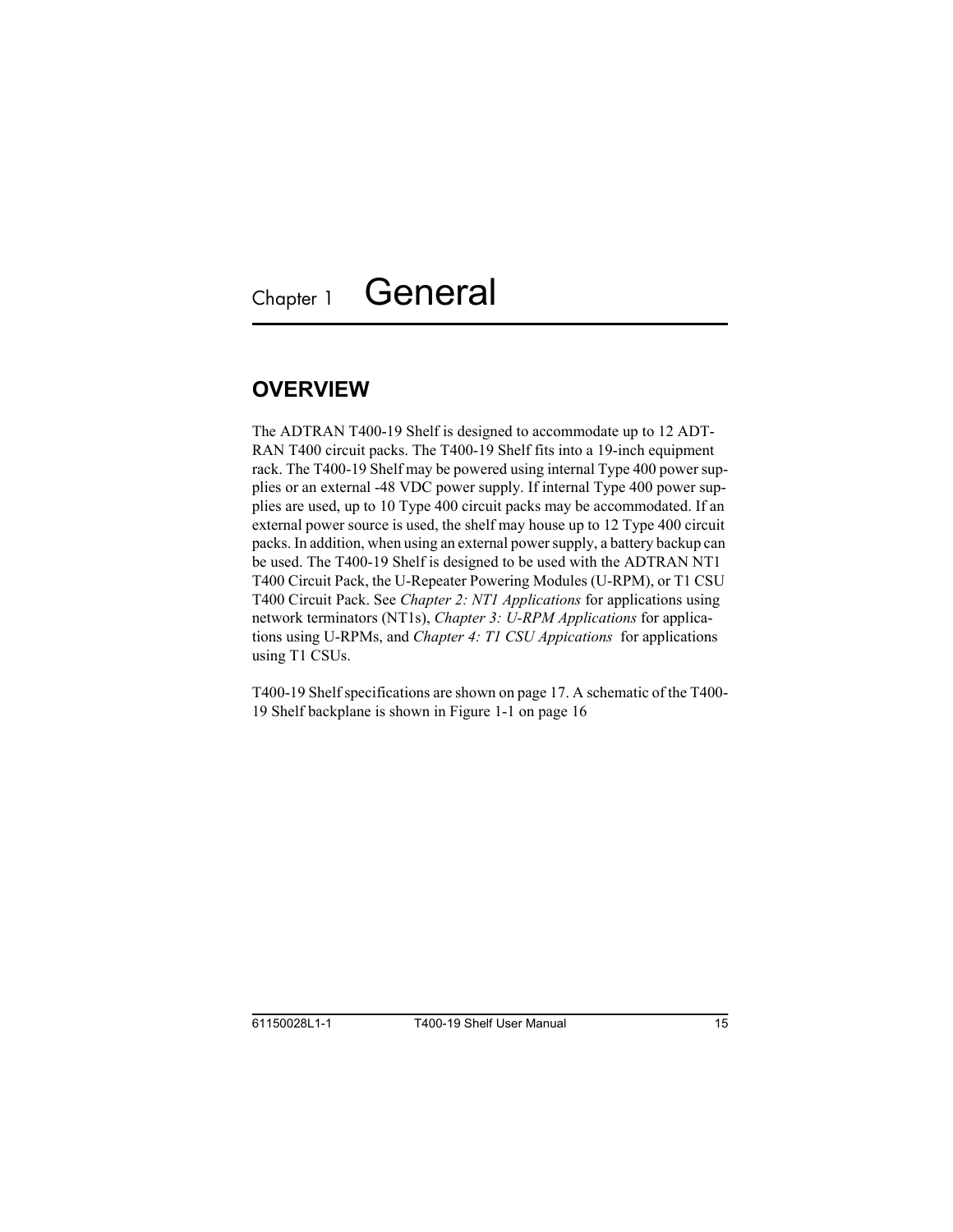## <span id="page-14-3"></span><span id="page-14-1"></span><span id="page-14-0"></span>**OVERVIEW**

<span id="page-14-2"></span>The ADTRAN T400-19 Shelf is designed to accommodate up to 12 ADT-RAN T400 circuit packs. The T400-19 Shelf fits into a 19-inch equipment rack. The T400-19 Shelf may be powered using internal Type 400 power supplies or an external -48 VDC power supply. If internal Type 400 power supplies are used, up to 10 Type 400 circuit packs may be accommodated. If an external power source is used, the shelf may house up to 12 Type 400 circuit packs. In addition, when using an external power supply, a battery backup can be used. The T400-19 Shelf is designed to be used with the ADTRAN NT1 T400 Circuit Pack, the U-Repeater Powering Modules (U-RPM), or T1 CSU T400 Circuit Pack. See *Chapter 2: NT1 Applications* for applications using network terminators (NT1s), *Chapter 3: U-RPM Applications* for applications using U-RPMs, and *Chapter 4: T1 CSU Appications* for applications using T1 CSUs.

<span id="page-14-4"></span>T400-19 Shelf specifications are shown on [page 17](#page-16-1). A schematic of the T400- 19 Shelf backplane is shown in Figure 1-1 on [page 16](#page-15-0)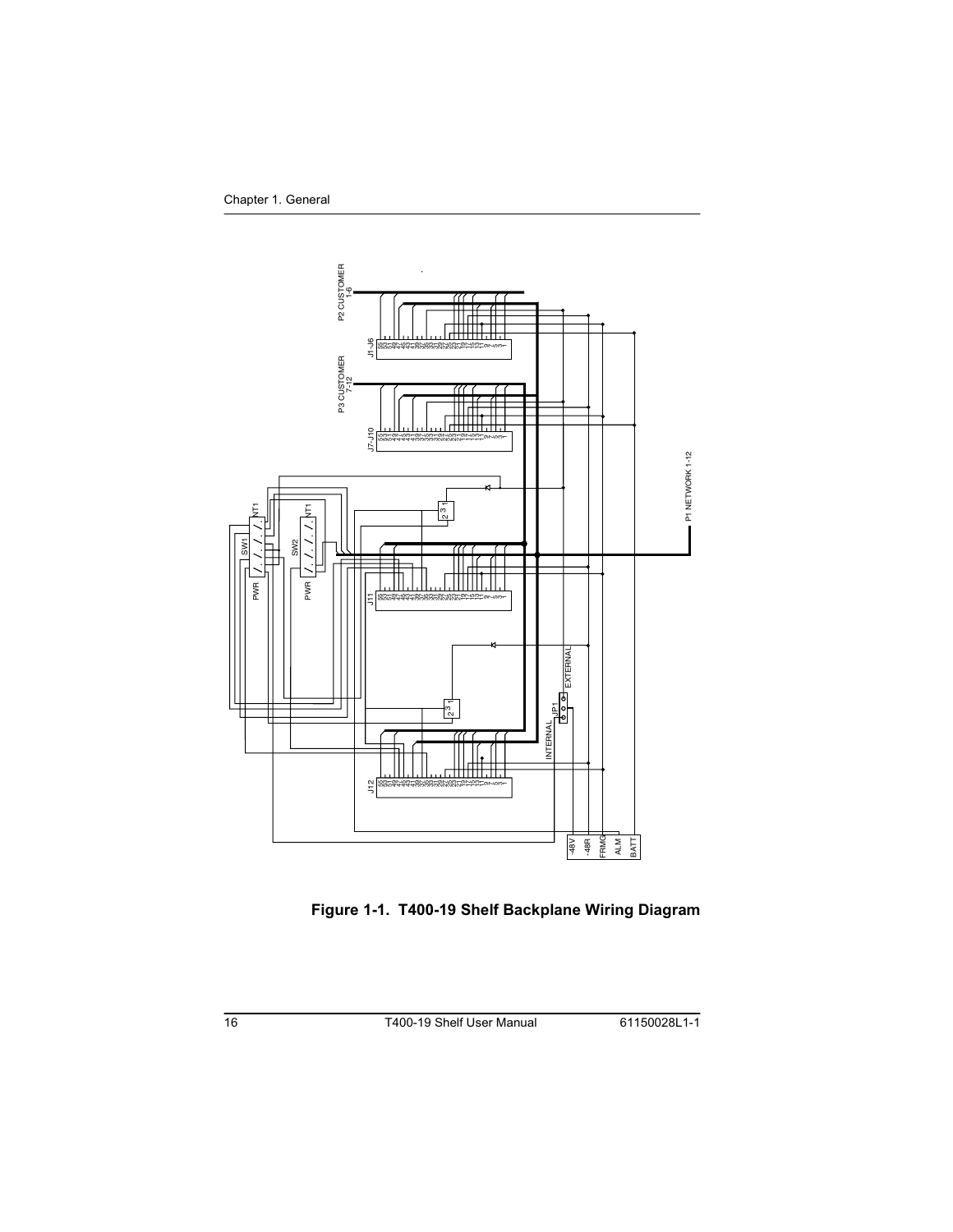

<span id="page-15-2"></span><span id="page-15-1"></span><span id="page-15-0"></span>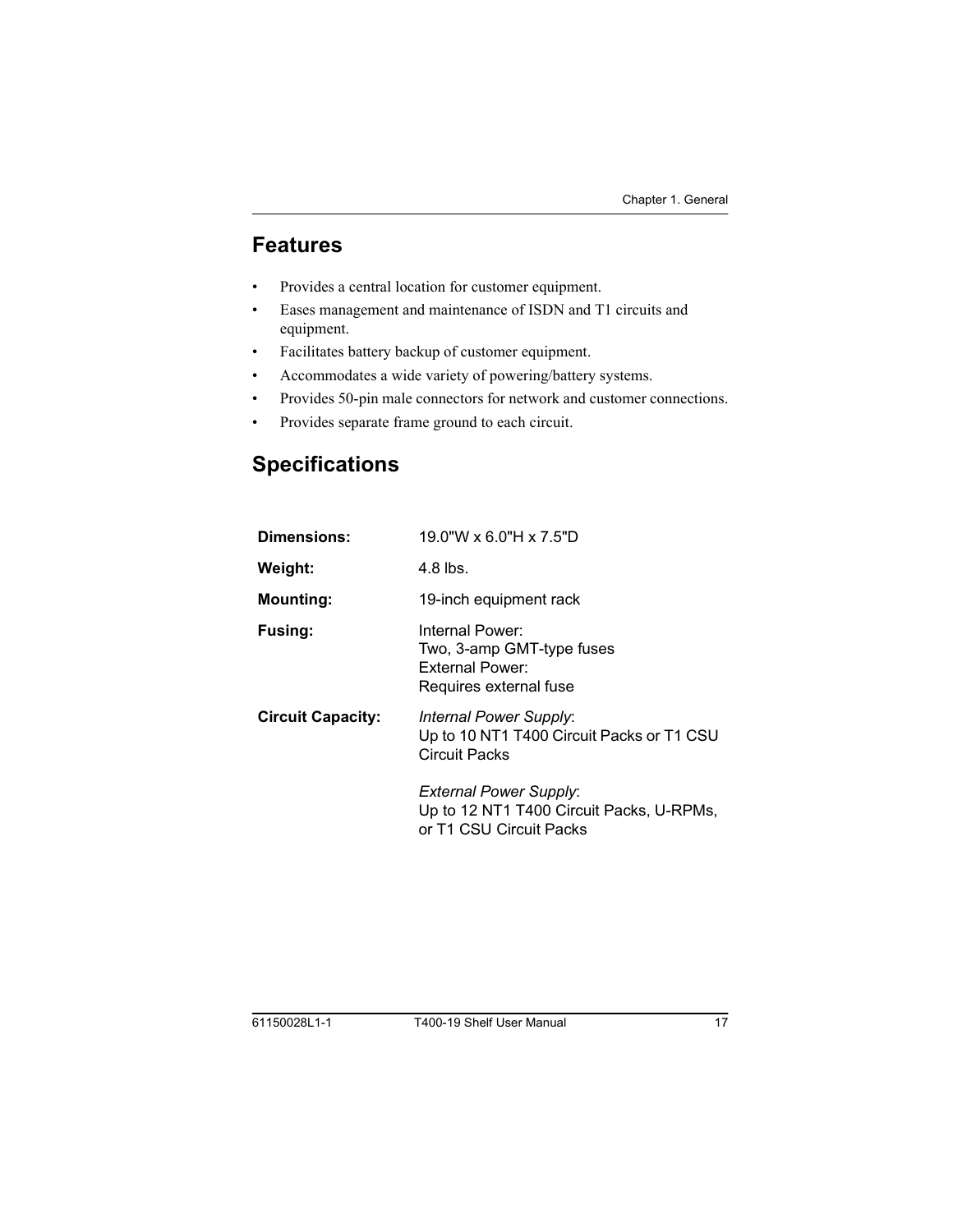## <span id="page-16-0"></span>**Features**

- Provides a central location for customer equipment.
- Eases management and maintenance of ISDN and T1 circuits and equipment.
- Facilitates battery backup of customer equipment.  $\bullet$
- Accommodates a wide variety of powering/battery systems.  $\bullet$
- Provides 50-pin male connectors for network and customer connections.  $\bullet$
- Provides separate frame ground to each circuit.  $\bullet$

## <span id="page-16-6"></span><span id="page-16-5"></span><span id="page-16-1"></span>**Specifications**

<span id="page-16-4"></span><span id="page-16-3"></span><span id="page-16-2"></span>

| <b>Dimensions:</b>       | 19.0"W x 6.0"H x 7.5"D                                                                               |  |  |
|--------------------------|------------------------------------------------------------------------------------------------------|--|--|
| Weight:                  | 4.8 lbs.                                                                                             |  |  |
| <b>Mounting:</b>         | 19-inch equipment rack                                                                               |  |  |
| <b>Fusing:</b>           | Internal Power:<br>Two, 3-amp GMT-type fuses<br>External Power:<br>Requires external fuse            |  |  |
| <b>Circuit Capacity:</b> | Internal Power Supply:<br>Up to 10 NT1 T400 Circuit Packs or T1 CSU<br>Circuit Packs                 |  |  |
|                          | <b>External Power Supply:</b><br>Up to 12 NT1 T400 Circuit Packs, U-RPMs,<br>or T1 CSU Circuit Packs |  |  |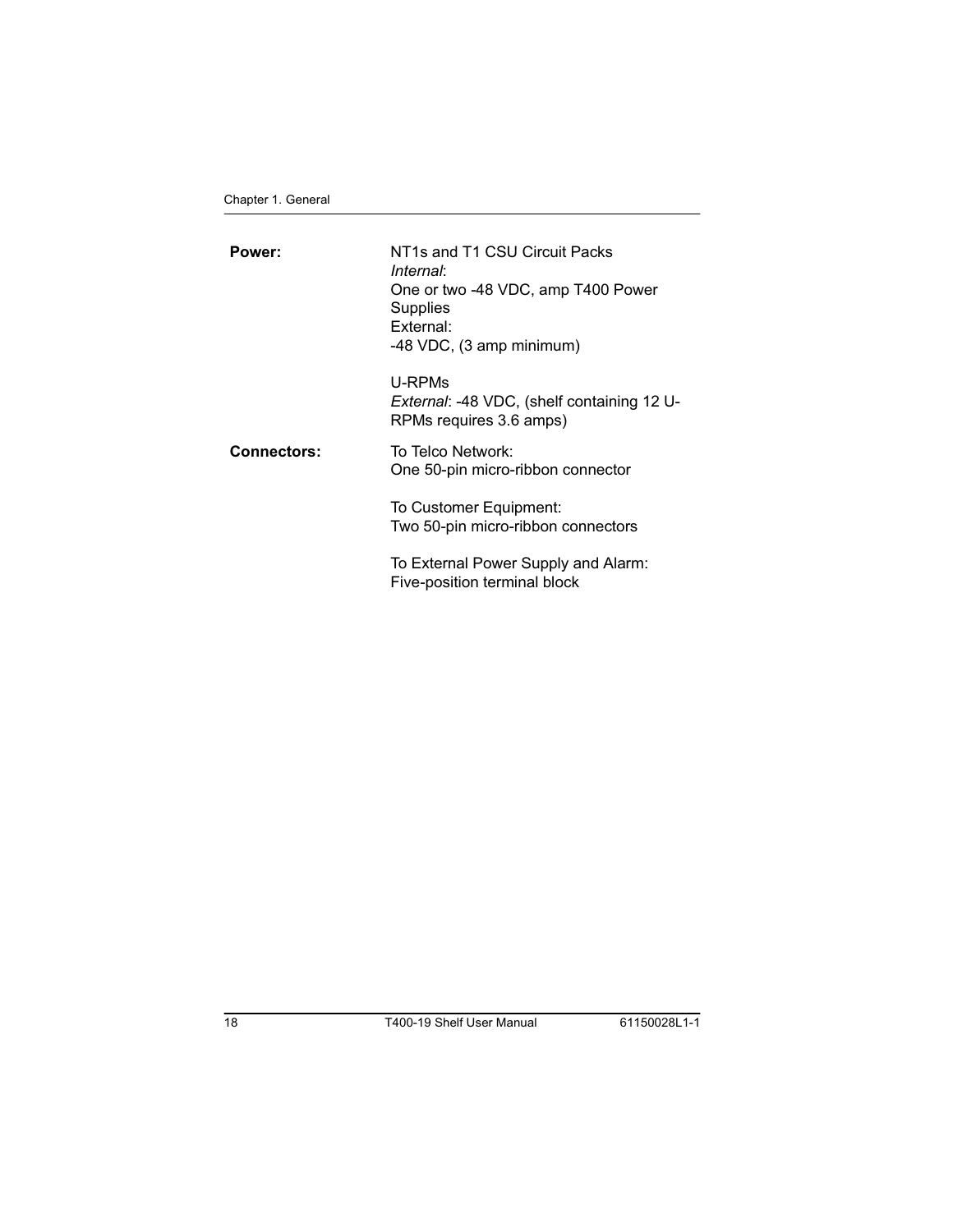<span id="page-17-1"></span><span id="page-17-0"></span>

| Power:             | NT1s and T1 CSU Circuit Packs<br>Internal:<br>One or two -48 VDC, amp T400 Power<br>Supplies<br>External:<br>-48 VDC, (3 amp minimum) |
|--------------------|---------------------------------------------------------------------------------------------------------------------------------------|
|                    | U-RPMs<br>External: -48 VDC, (shelf containing 12 U-<br>RPMs requires 3.6 amps)                                                       |
| <b>Connectors:</b> | To Telco Network:<br>One 50-pin micro-ribbon connector                                                                                |
|                    | To Customer Equipment:<br>Two 50-pin micro-ribbon connectors                                                                          |
|                    | To External Power Supply and Alarm:<br>Five-position terminal block                                                                   |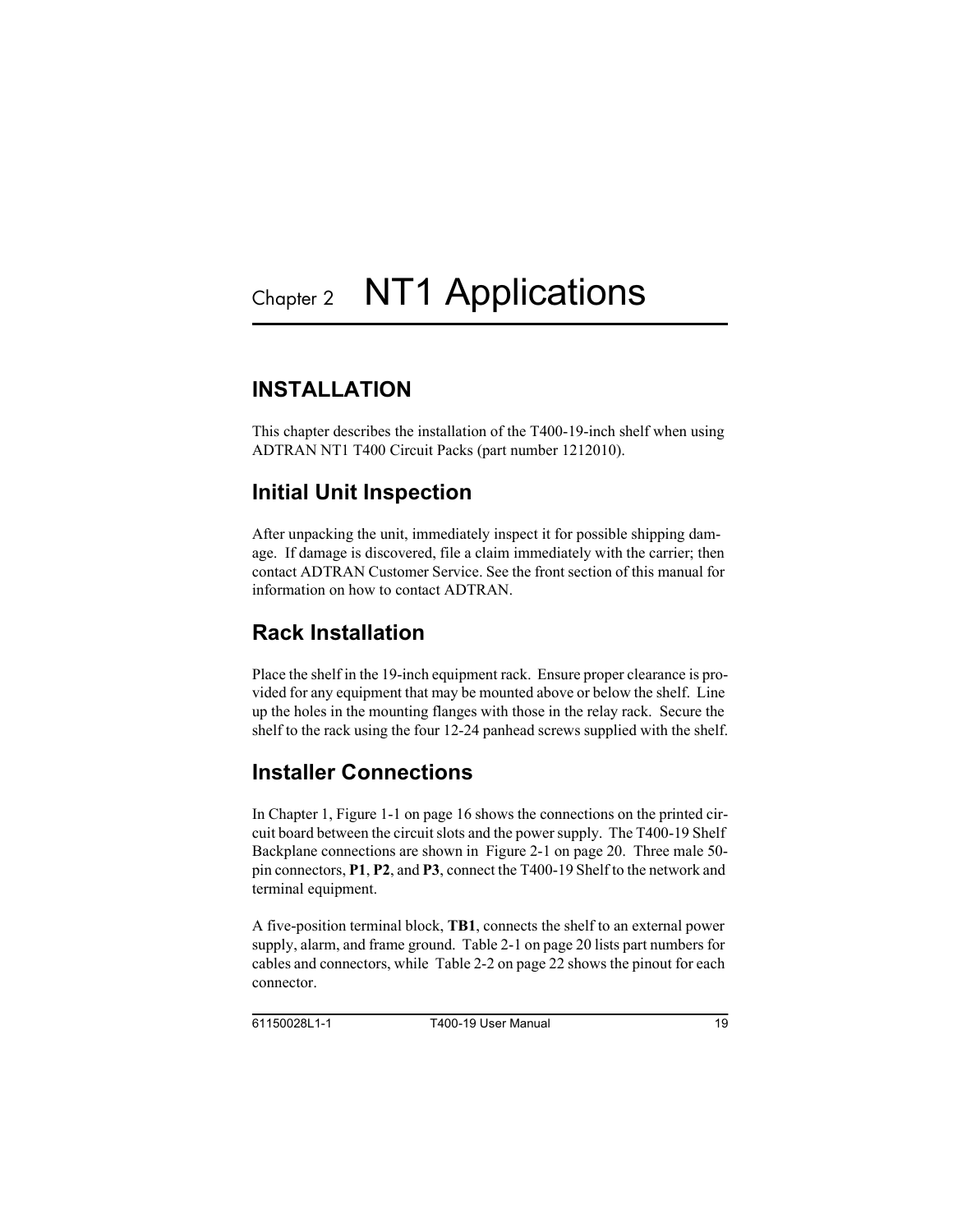## <span id="page-18-7"></span><span id="page-18-1"></span><span id="page-18-0"></span>**INSTALL ATION**

<span id="page-18-11"></span><span id="page-18-5"></span>This chapter describes the installation of the T400-19-inch shelf when using ADTRAN NT1 T400 Circuit Packs (part number 1212010).

## <span id="page-18-6"></span><span id="page-18-2"></span>**Initial Unit Inspection**

After unpacking the unit, immediately inspect it for possible shipping damage. If damage is discovered, file a claim immediately with the carrier; then contact ADTRAN Customer Service. See the front section of this manual for information on how to contact ADTRAN.

## <span id="page-18-9"></span><span id="page-18-3"></span>Rack Installation

Place the shelf in the 19-inch equipment rack. Ensure proper clearance is provided for any equipment that may be mounted above or below the shelf. Line up the holes in the mounting flanges with those in the relay rack. Secure the shelf to the rack using the four 12-24 panhead screws supplied with the shelf.

## <span id="page-18-8"></span><span id="page-18-4"></span>**Installer Connections**

<span id="page-18-10"></span>In Chapter 1, [Figure 1-1 on page 16](#page-15-1) shows the connections on the printed circuit board between the circuit slots and the power supply. The T400-19 Shelf Backplane connections are shown in [Figure 2-1 on page 20.](#page-19-2) Three male 50 pin connectors, **P1**, **P2**, and **P3**, connect the T400-19 Shelf to the network and terminal equipment.

A five-position terminal block, **TB1**, connects the shelf to an external power supply, alarm, and frame ground. [Table 2-1 on page 20](#page-19-3) lists part numbers for cables and connectors, while [Table 2-2 on page 22](#page-21-0) shows the pinout for each connector.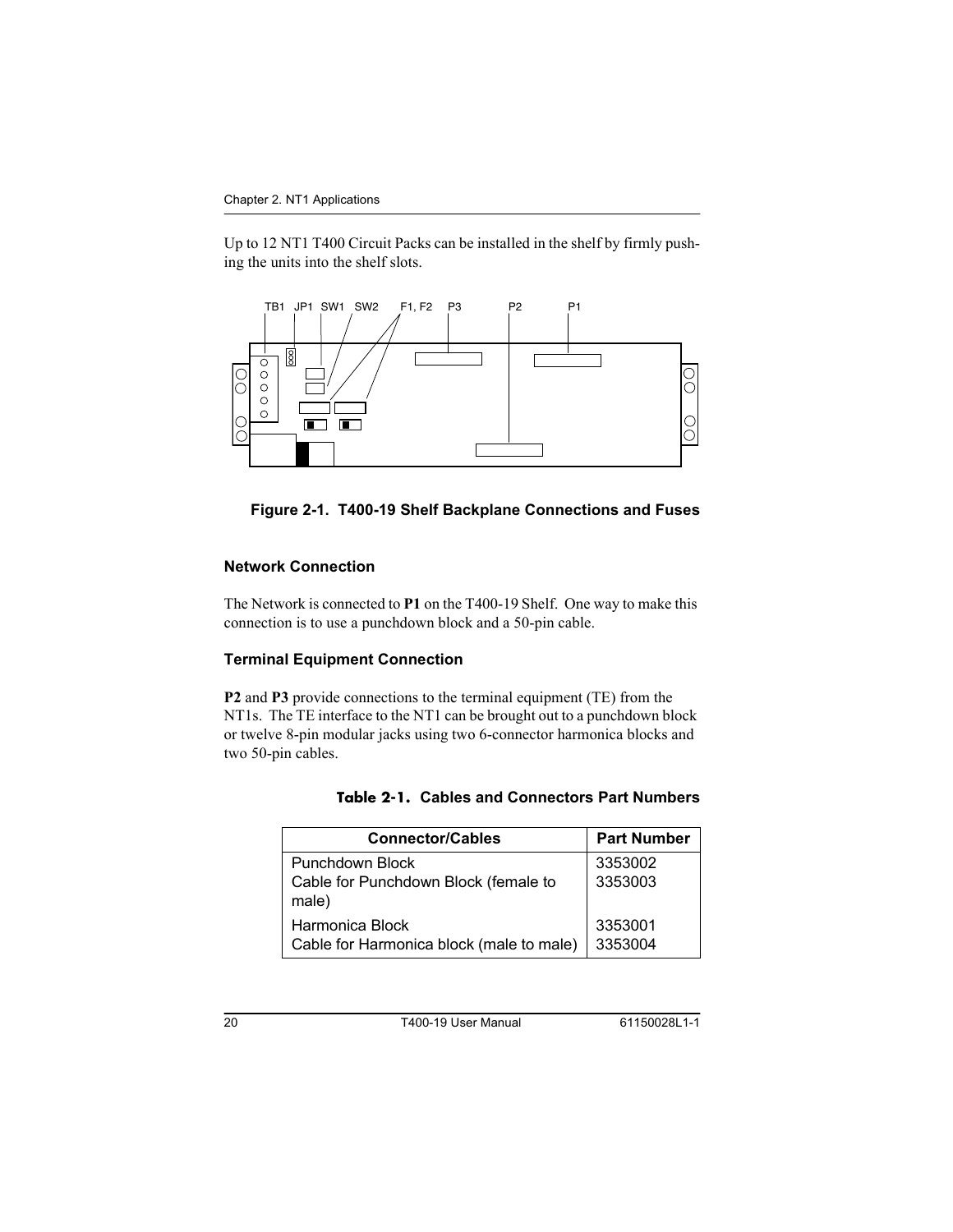Up to 12 NT1 T400 Circuit Packs can be installed in the shelf by firmly pushing the units into the shelf slots.



#### <span id="page-19-4"></span><span id="page-19-2"></span>Figure 2-1. T400-19 Shelf Backplane Connections and Fuses

#### <span id="page-19-7"></span><span id="page-19-0"></span>**Network Connection**

The Network is connected to P1 on the T400-19 Shelf. One way to make this connection is to use a punchdown block and a 50-pin cable.

#### <span id="page-19-10"></span><span id="page-19-1"></span>**Terminal Equipment Connection**

P2 and P3 provide connections to the terminal equipment (TE) from the NT1s. The TE interface to the NT1 can be brought out to a punchdown block or twelve 8-pin modular jacks using two 6-connector harmonica blocks and two 50-pin cables.

<span id="page-19-9"></span><span id="page-19-6"></span><span id="page-19-3"></span>

| <b>Connector/Cables</b>                                          | <b>Part Number</b> |
|------------------------------------------------------------------|--------------------|
| Punchdown Block<br>Cable for Punchdown Block (female to<br>male) | 3353002<br>3353003 |
| Harmonica Block<br>Cable for Harmonica block (male to male)      | 3353001<br>3353004 |

<span id="page-19-8"></span><span id="page-19-5"></span>

|  | <b>Table 2-1. Cables and Connectors Part Numbers</b> |
|--|------------------------------------------------------|
|  |                                                      |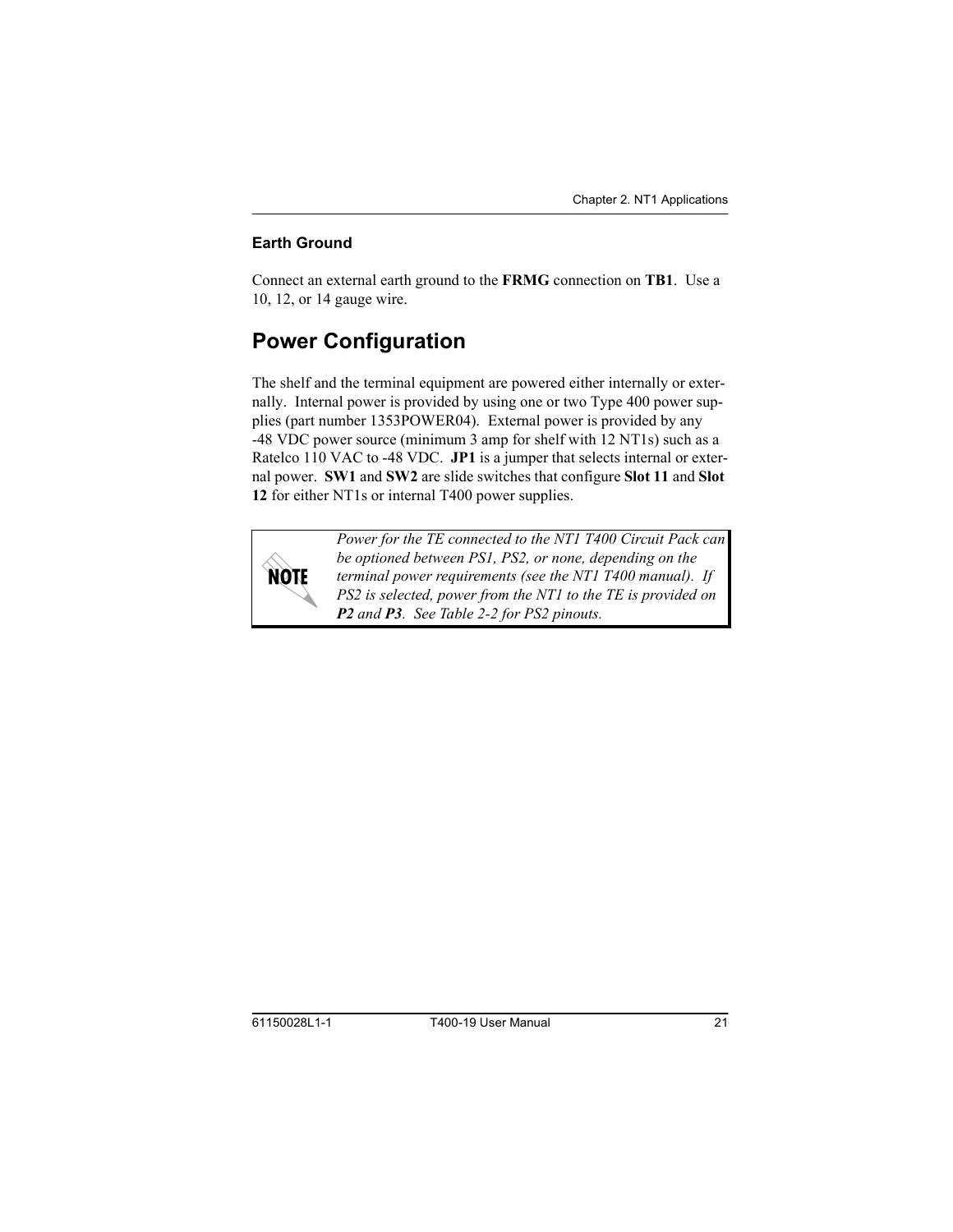#### <span id="page-20-0"></span>**Earth Ground**

<span id="page-20-2"></span>Connect an external earth ground to the **FRMG** connection on **TB1**. Use a 10, 12, or 14 gauge wire.

## <span id="page-20-4"></span><span id="page-20-1"></span>**Power Configuration**

The shelf and the terminal equipment are powered either internally or externally. Internal power is provided by using one or two Type 400 power supplies (part number 1353POWER04). External power is provided by any -48 VDC power source (minimum 3 amp for shelf with 12 NT1s) such as a Ratelco 110 VAC to -48 VDC. **JP1** is a jumper that selects internal or external power. **SW1** and **SW2** are slide switches that configure **Slot 11** and **Slot 12** for either NT1s or internal T400 power supplies.



<span id="page-20-3"></span>*Power for the TE connected to the NT1 T400 Circuit Pack can be optioned between PS1, PS2, or none, depending on the terminal power requirements (see the NT1 T400 manual). If PS2 is selected, power from the NT1 to the TE is provided on P2 and P3. See Table 2-2 for PS2 pinouts.*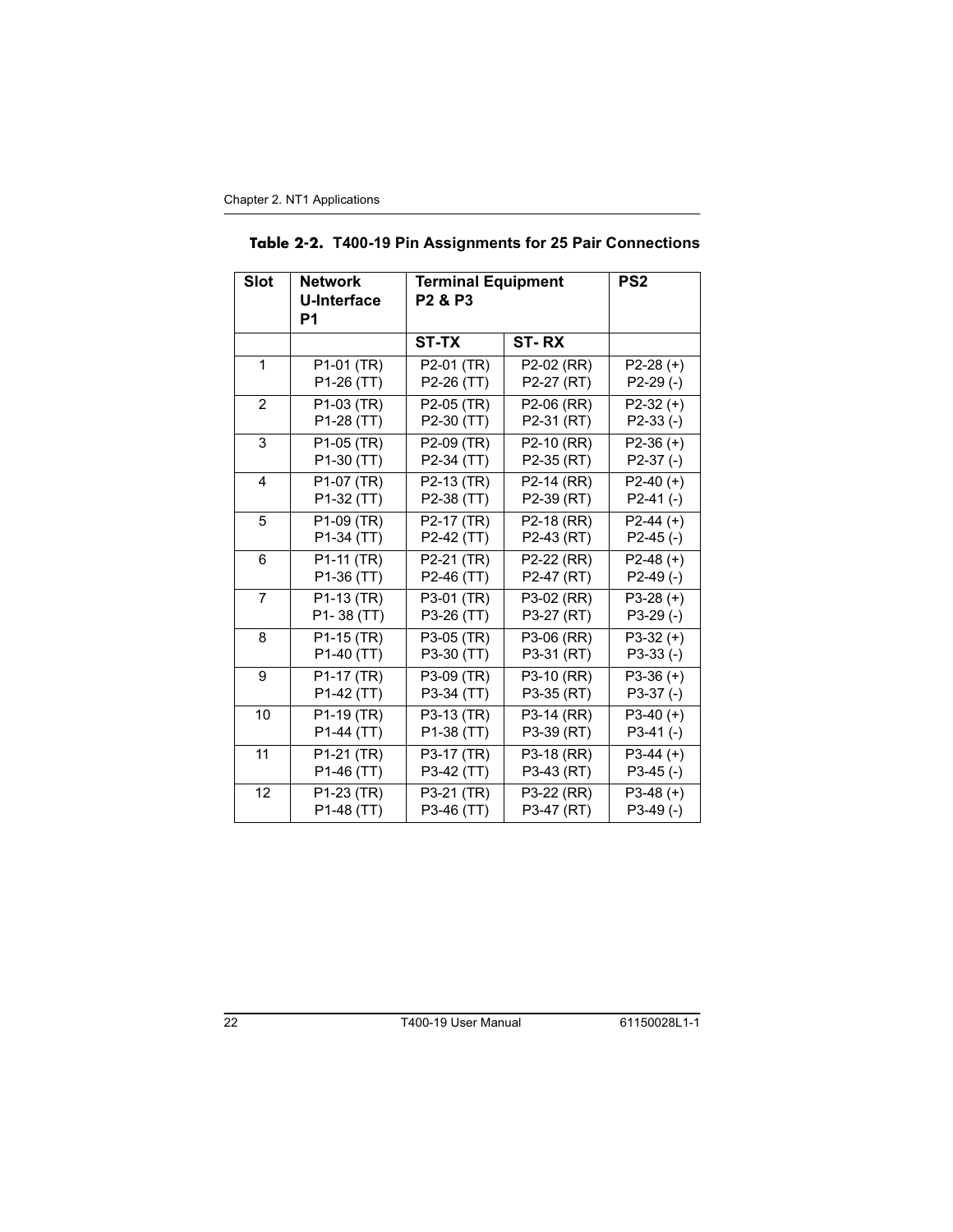<span id="page-21-3"></span><span id="page-21-2"></span><span id="page-21-1"></span><span id="page-21-0"></span>

|  |  |  | Table 2-2. T400-19 Pin Assignments for 25 Pair Connections |
|--|--|--|------------------------------------------------------------|
|--|--|--|------------------------------------------------------------|

| <b>Slot</b>    | <b>Network</b><br><b>U-Interface</b><br>P1 | <b>Terminal Equipment</b><br>P <sub>2</sub> & P <sub>3</sub> |                          | PS <sub>2</sub> |
|----------------|--------------------------------------------|--------------------------------------------------------------|--------------------------|-----------------|
|                |                                            | <b>ST-TX</b>                                                 | ST-RX                    |                 |
| 1              | P1-01 (TR)                                 | P2-01 (TR)                                                   | P2-02 (RR)               | $P2-28 (+)$     |
|                | P1-26 (TT)                                 | P2-26 (TT)                                                   | P2-27 (RT)               | $P2-29$ (-)     |
| 2              | P1-03 (TR)                                 | P2-05 (TR)                                                   | P2-06 (RR)               | $P2-32 (+)$     |
|                | P1-28 (TT)                                 | P2-30 (TT)                                                   | P2-31 (RT)               | $P2-33$ (-)     |
| 3              | $\overline{P1}$ -05 (TR)                   | P2-09 (TR)                                                   | P2-10 (RR)               | $P2-36 (+)$     |
|                | P1-30 (TT)                                 | P2-34 (TT)                                                   | P2-35 (RT)               | $P2-37(-)$      |
| $\overline{4}$ | P1-07 (TR)                                 | P2-13 (TR)                                                   | P2-14 (RR)               | $P2-40 (+)$     |
|                | P1-32 (TT)                                 | P2-38 (TT)                                                   | P2-39 (RT)               | $P2-41(-)$      |
| 5              | P <sub>1</sub> -09 (TR)                    | P2-17 (TR)                                                   | P2-18 (RR)               | $P2-44 (+)$     |
|                | P1-34 (TT)                                 | P2-42 (TT)                                                   | P2-43 (RT)               | $P2-45$ (-)     |
| 6              | $\overline{P}$ 1-11 (TR)                   | P2-21 (TR)                                                   | P2-22 (RR)               | $P2-48 (+)$     |
|                | P1-36 (TT)                                 | P2-46 (TT)                                                   | P2-47 (RT)               | $P2-49$ (-)     |
| $\overline{7}$ | $\overline{P1-13}$ (TR)                    | P3-01 (TR)                                                   | P3-02 (RR)               | $P3-28 (+)$     |
|                | P1-38 (TT)                                 | P3-26 (TT)                                                   | P3-27 (RT)               | $P3-29$ (-)     |
| 8              | P1-15 (TR)                                 | P3-05 (TR)                                                   | $\overline{P}$ 3-06 (RR) | $P3-32 (+)$     |
|                | P1-40 (TT)                                 | P3-30 (TT)                                                   | P3-31 (RT)               | $P3-33(-)$      |
| 9              | P1-17 (TR)                                 | P3-09 (TR)                                                   | P3-10 (RR)               | $P3-36 (+)$     |
|                | P1-42 (TT)                                 | P3-34 (TT)                                                   | P3-35 (RT)               | $P3-37(-)$      |
| 10             | P1-19 (TR)                                 | P3-13 (TR)                                                   | P3-14 (RR)               | $P3-40 (+)$     |
|                | P1-44 (TT)                                 | P1-38 (TT)                                                   | P3-39 (RT)               | $P3-41(-)$      |
| 11             | $\overline{P1}$ -21 (TR)                   | P3-17 (TR)                                                   | P3-18 (RR)               | $P3-44 (+)$     |
|                | P1-46 (TT)                                 | P3-42 (TT)                                                   | P3-43 (RT)               | $P3-45$ (-)     |
| 12             | $\overline{P1-23}$ (TR)                    | P3-21 (TR)                                                   | P3-22 (RR)               | $P3-48 (+)$     |
|                | P1-48 (TT)                                 | P3-46 (TT)                                                   | P3-47 (RT)               | $P3-49$ (-)     |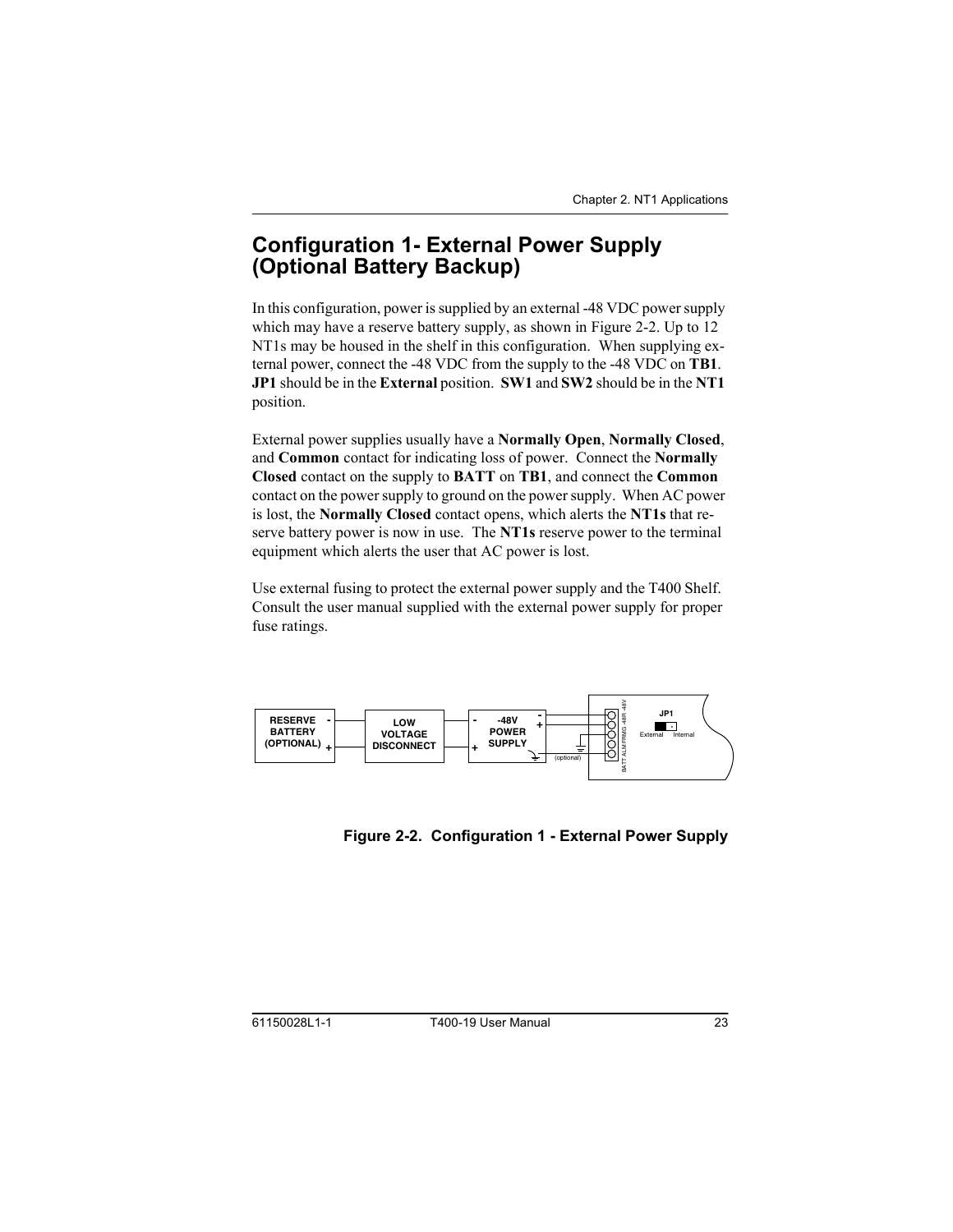## <span id="page-22-3"></span><span id="page-22-0"></span>**Configuration 1- External Power Supply** (Optional Battery Backup)

<span id="page-22-5"></span><span id="page-22-4"></span>In this configuration, power is supplied by an external -48 VDC power supply which may have a reserve battery supply, as shown in Figure 2-2. Up to 12 NT1s may be housed in the shelf in this configuration. When supplying external power, connect the -48 VDC from the supply to the -48 VDC on **TB1**. **JP1** should be in the **External** position. **SW1** and **SW2** should be in the **NT1** position.

External power supplies usually have a **Normally Open**, **Normally Closed**, and **Common** contact for indicating loss of power. Connect the **Normally Closed** contact on the supply to **BATT** on **TB1**, and connect the **Common** contact on the power supply to ground on the power supply. When AC power is lost, the **Normally Closed** contact opens, which alerts the **NT1s** that reserve battery power is now in use. The **NT1s** reserve power to the terminal equipment which alerts the user that AC power is lost.

Use external fusing to protect the external power supply and the T400 Shelf. Consult the user manual supplied with the external power supply for proper fuse ratings.



<span id="page-22-2"></span><span id="page-22-1"></span>Figure 2-2. Configuration 1 - External Power Supply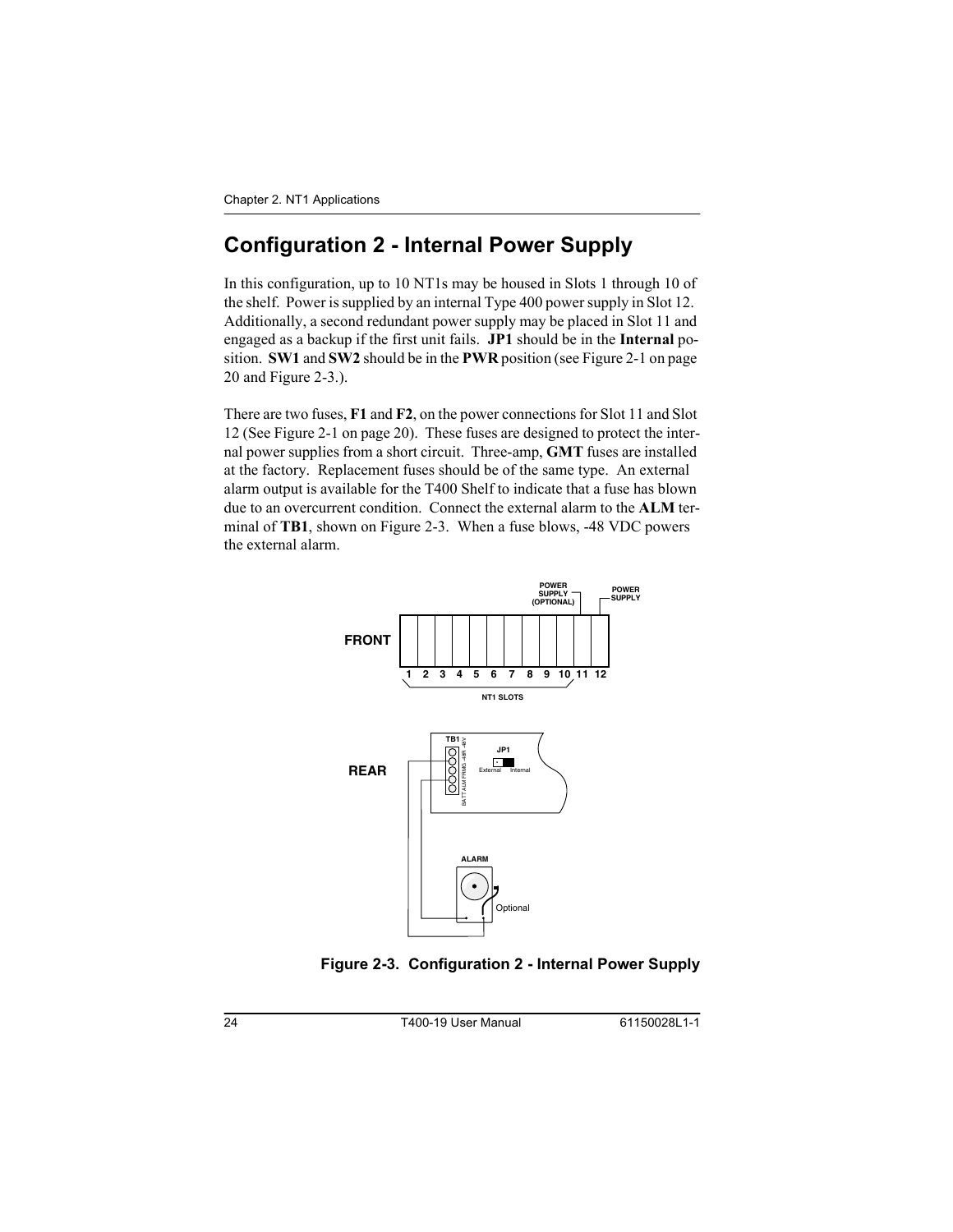## <span id="page-23-2"></span><span id="page-23-0"></span>**Configuration 2 - Internal Power Supply**

<span id="page-23-5"></span><span id="page-23-4"></span><span id="page-23-3"></span>In this configuration, up to 10 NT1s may be housed in Slots 1 through 10 of the shelf. Power is supplied by an internal Type 400 power supply in Slot 12. Additionally, a second redundant power supply may be placed in Slot 11 and engaged as a backup if the first unit fails. **JP1** should be in the **Internal** position. **SW1** and **SW2** should be in the **PWR** position (see Figure 2-1 on [page](#page-19-2)  [20](#page-19-2) and Figure 2-3.).

There are two fuses, **F1** and **F2**, on the power connections for Slot 11 and Slot 12 (See Figure 2-1 on [page 20\)](#page-19-2). These fuses are designed to protect the internal power supplies from a short circuit. Three-amp, **GMT** fuses are installed at the factory. Replacement fuses should be of the same type. An external alarm output is available for the T400 Shelf to indicate that a fuse has blown due to an overcurrent condition. Connect the external alarm to the **ALM** terminal of **TB1**, shown on Figure 2-3. When a fuse blows, -48 VDC powers the external alarm.



<span id="page-23-1"></span>Figure 2-3. Configuration 2 - Internal Power Supply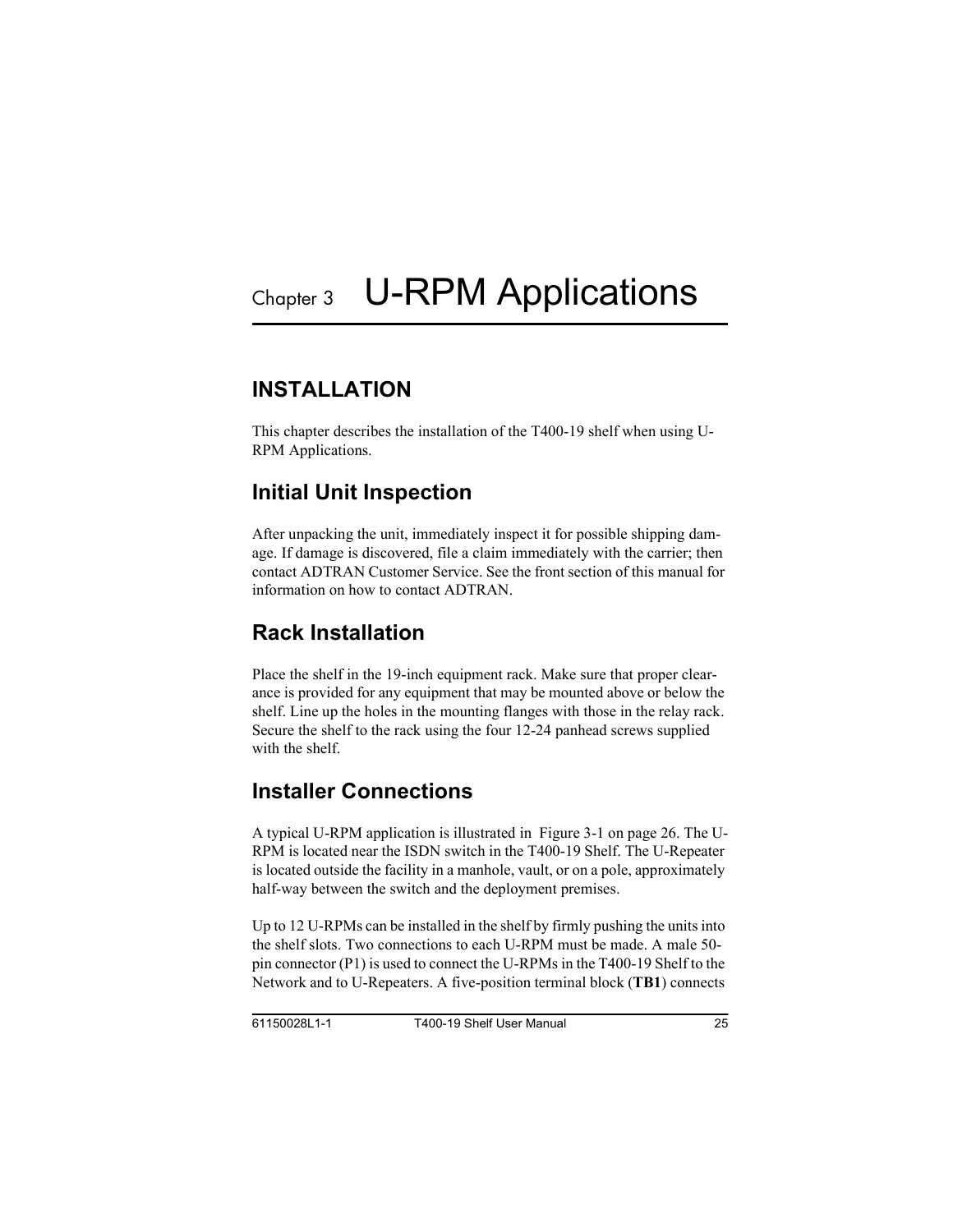## <span id="page-24-1"></span><span id="page-24-0"></span>**INSTALL ATION**

This chapter describes the installation of the T400-19 shelf when using U-RPM Applications.

## <span id="page-24-5"></span><span id="page-24-2"></span>**Initial Unit Inspection**

After unpacking the unit, immediately inspect it for possible shipping damage. If damage is discovered, file a claim immediately with the carrier; then contact ADTRAN Customer Service. See the front section of this manual for information on how to contact ADTRAN.

## <span id="page-24-7"></span><span id="page-24-3"></span>Rack Installation

Place the shelf in the 19-inch equipment rack. Make sure that proper clearance is provided for any equipment that may be mounted above or below the shelf. Line up the holes in the mounting flanges with those in the relay rack. Secure the shelf to the rack using the four 12-24 panhead screws supplied with the shelf.

## <span id="page-24-6"></span><span id="page-24-4"></span>**Installer Connections**

<span id="page-24-9"></span><span id="page-24-8"></span>A typical U-RPM application is illustrated in [Figure 3-1 on page 26.](#page-25-3) The U-RPM is located near the ISDN switch in the T400-19 Shelf. The U-Repeater is located outside the facility in a manhole, vault, or on a pole, approximately half-way between the switch and the deployment premises.

Up to 12 U-RPMs can be installed in the shelf by firmly pushing the units into the shelf slots. Two connections to each U-RPM must be made. A male 50 pin connector (P1) is used to connect the U-RPMs in the T400-19 Shelf to the Network and to U-Repeaters. A five-position terminal block (**TB1**) connects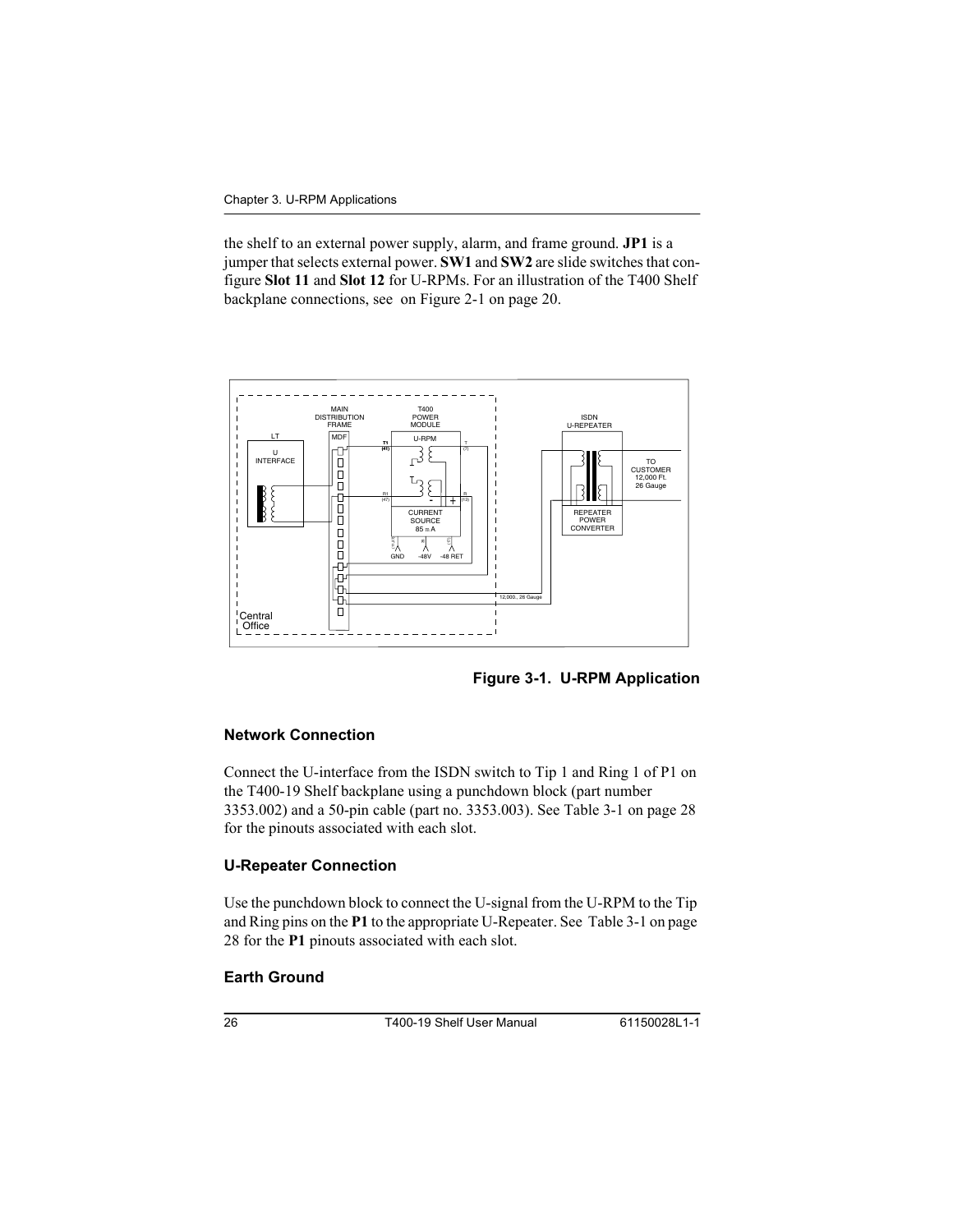<span id="page-25-8"></span><span id="page-25-7"></span>the shelf to an external power supply, alarm, and frame ground. **JP1** is a jumper that selects external power. **SW1** and **SW2** are slide switches that configure **Slot 11** and **Slot 12** for U-RPMs. For an illustration of the T400 Shelf backplane connections, see on [Figure 2-1 on page 20](#page-19-4).



<span id="page-25-10"></span><span id="page-25-6"></span>Figure 3-1. U-RPM Application

#### <span id="page-25-5"></span><span id="page-25-3"></span><span id="page-25-0"></span>**Network Connection**

<span id="page-25-9"></span>Connect the U-interface from the ISDN switch to Tip 1 and Ring 1 of P1 on the T400-19 Shelf backplane using a punchdown block (part number 3353.002) and a 50-pin cable (part no. 3353.003). See [Table 3-1 on page 28](#page-27-0) for the pinouts associated with each slot.

#### <span id="page-25-11"></span><span id="page-25-1"></span>**U-Repeater Connection**

Use the punchdown block to connect the U-signal from the U-RPM to the Tip and Ring pins on the **P1** to the appropriate U-Repeater. See [Table 3-1 on page](#page-27-0)  [28](#page-27-0) for the **P1** pinouts associated with each slot.

#### <span id="page-25-4"></span><span id="page-25-2"></span>Earth Ground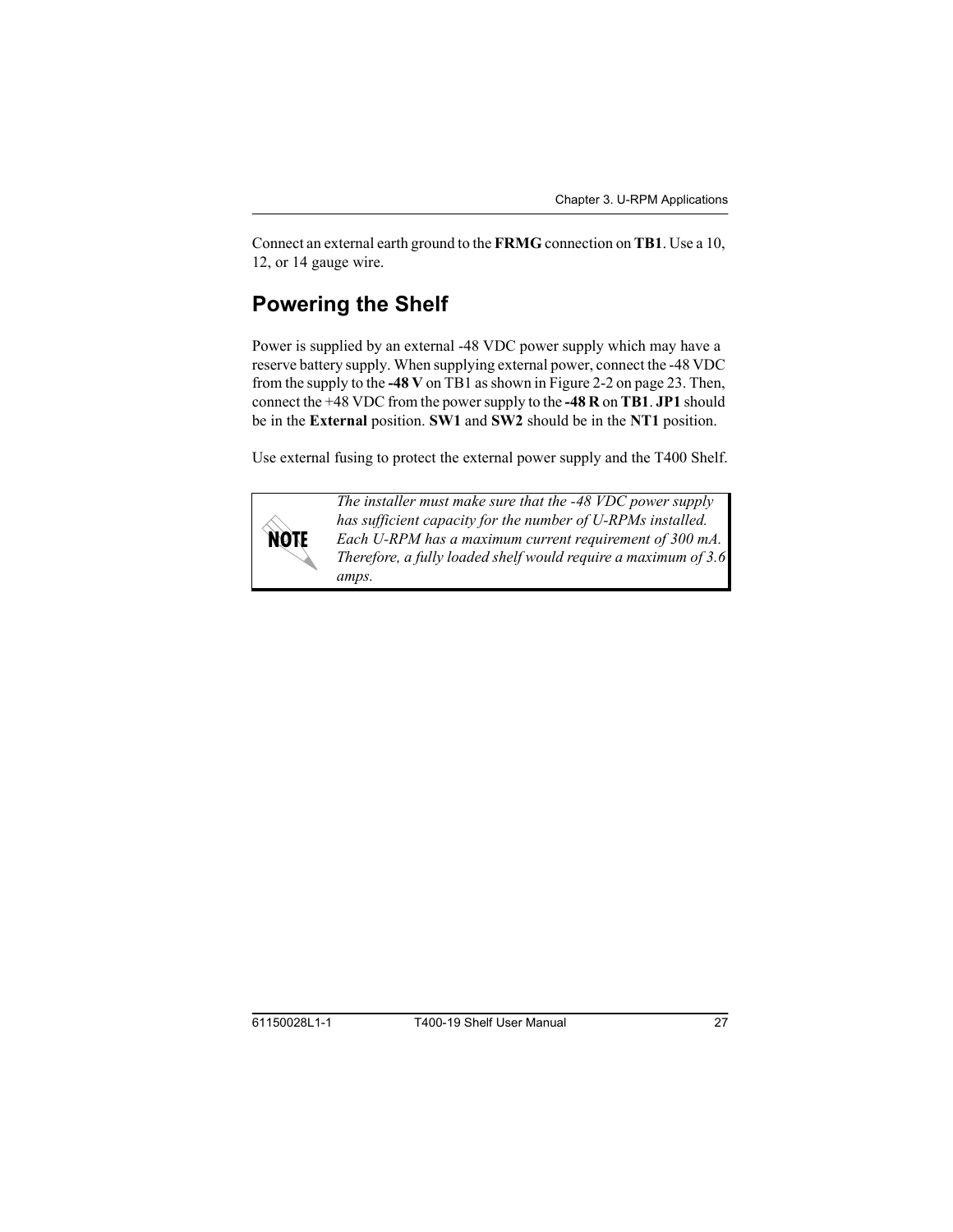<span id="page-26-1"></span>Connect an external earth ground to the **FRMG** connection on **TB1**. Use a 10, 12, or 14 gauge wire.

## <span id="page-26-3"></span><span id="page-26-0"></span>**Powering the Shelf**

Power is supplied by an external -48 VDC power supply which may have a reserve battery supply. When supplying external power, connect the -48 VDC from the supply to the **-48 V** on TB1 as shown in [Figure 2-2 on page 23.](#page-22-2) Then, connect the +48 VDC from the power supply to the **-48 R** on **TB1**. **JP1** should be in the **External** position. **SW1** and **SW2** should be in the **NT1** position.

Use external fusing to protect the external power supply and the T400 Shelf.



<span id="page-26-5"></span><span id="page-26-4"></span><span id="page-26-2"></span>*The installer must make sure that the -48 VDC power supply has sufficient capacity for the number of U-RPMs installed. Each U-RPM has a maximum current requirement of 300 mA. Therefore, a fully loaded shelf would require a maximum of 3.6 amps.*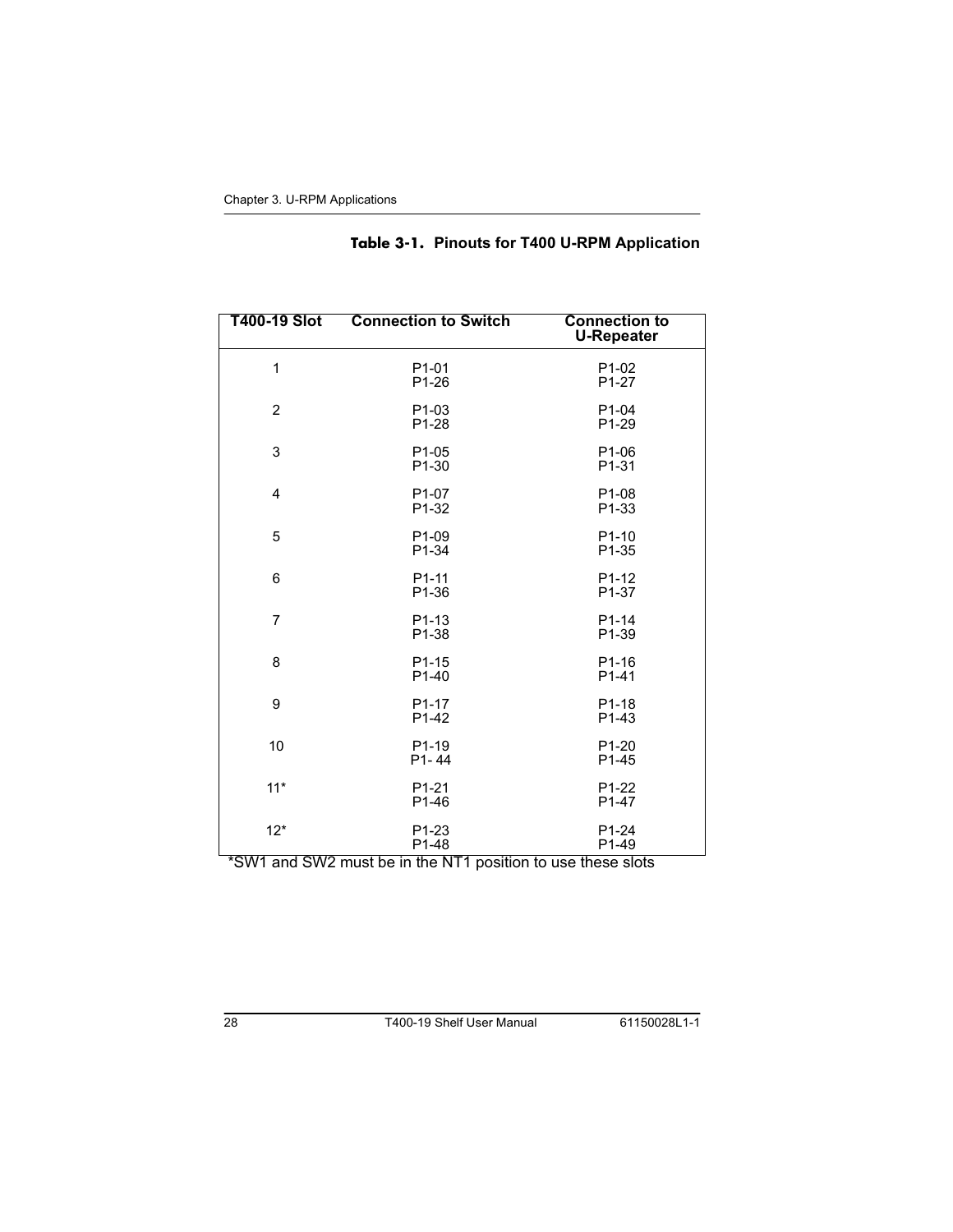<span id="page-27-0"></span>

| T400-19 Slot   | <b>Connection to Switch</b>              | <b>Connection to</b><br><b>U-Repeater</b> |
|----------------|------------------------------------------|-------------------------------------------|
| $\mathbf{1}$   | P <sub>1</sub> -01<br>P <sub>1</sub> -26 | P1-02<br>P <sub>1</sub> -27               |
| $\overline{2}$ | P1-03<br>P <sub>1</sub> -28              | P <sub>1-04</sub><br>P <sub>1</sub> -29   |
| 3              | P <sub>1</sub> -05<br>P1-30              | P <sub>1-06</sub><br>P <sub>1</sub> -31   |
| $\overline{4}$ | P <sub>1</sub> -07<br>P1-32              | P <sub>1</sub> -08<br>P1-33               |
| 5              | P <sub>1</sub> -09<br>P1-34              | $P1-10$<br>P1-35                          |
| 6              | P <sub>1</sub> -11<br>P1-36              | P <sub>1</sub> -12<br>P <sub>1</sub> -37  |
| $\overline{7}$ | P <sub>1</sub> -13<br>P1-38              | P1-14<br>P1-39                            |
| 8              | P <sub>1</sub> -15<br>P <sub>1</sub> -40 | P <sub>1</sub> -16<br>P1-41               |
| 9              | P <sub>1</sub> -17<br>P1-42              | P <sub>1</sub> -18<br>P1-43               |
| 10             | P <sub>1</sub> -19<br>$P1 - 44$          | P <sub>1</sub> -20<br>P <sub>1</sub> -45  |
| $11*$          | P <sub>1</sub> -21<br>P1-46              | P1-22<br>P1-47                            |
| $12*$          | P1-23<br>P1-48                           | P <sub>1</sub> -24<br>P1-49               |

#### Table 3-1. Pinouts for T400 U-RPM Application

\*SW1 and SW2 must be in the NT1 position to use these slots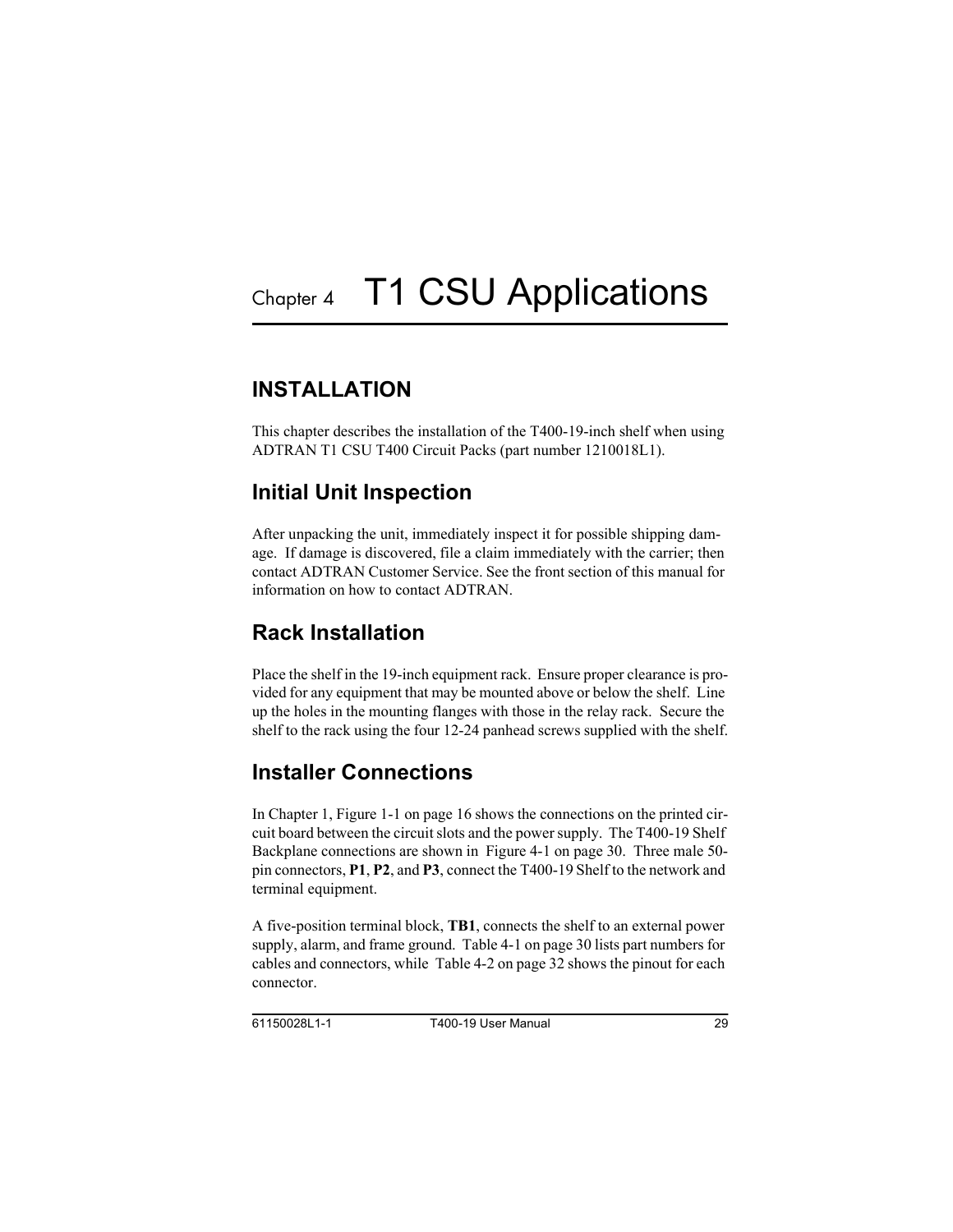## <span id="page-28-7"></span><span id="page-28-1"></span><span id="page-28-0"></span>**INSTALL ATION**

<span id="page-28-11"></span><span id="page-28-5"></span>This chapter describes the installation of the T400-19-inch shelf when using ADTRAN T1 CSU T400 Circuit Packs (part number 1210018L1).

## <span id="page-28-6"></span><span id="page-28-2"></span>**Initial Unit Inspection**

After unpacking the unit, immediately inspect it for possible shipping damage. If damage is discovered, file a claim immediately with the carrier; then contact ADTRAN Customer Service. See the front section of this manual for information on how to contact ADTRAN.

## <span id="page-28-9"></span><span id="page-28-3"></span>Rack Installation

Place the shelf in the 19-inch equipment rack. Ensure proper clearance is provided for any equipment that may be mounted above or below the shelf. Line up the holes in the mounting flanges with those in the relay rack. Secure the shelf to the rack using the four 12-24 panhead screws supplied with the shelf.

## <span id="page-28-8"></span><span id="page-28-4"></span>**Installer Connections**

<span id="page-28-10"></span>In Chapter 1, [Figure 1-1 on page 16](#page-15-1) shows the connections on the printed circuit board between the circuit slots and the power supply. The T400-19 Shelf Backplane connections are shown in [Figure 4-1 on page 30.](#page-29-1) Three male 50 pin connectors, **P1**, **P2**, and **P3**, connect the T400-19 Shelf to the network and terminal equipment.

A five-position terminal block, **TB1**, connects the shelf to an external power supply, alarm, and frame ground. [Table 4-1 on page 30](#page-29-2) lists part numbers for cables and connectors, while [Table 4-2 on page 32](#page-31-0) shows the pinout for each connector.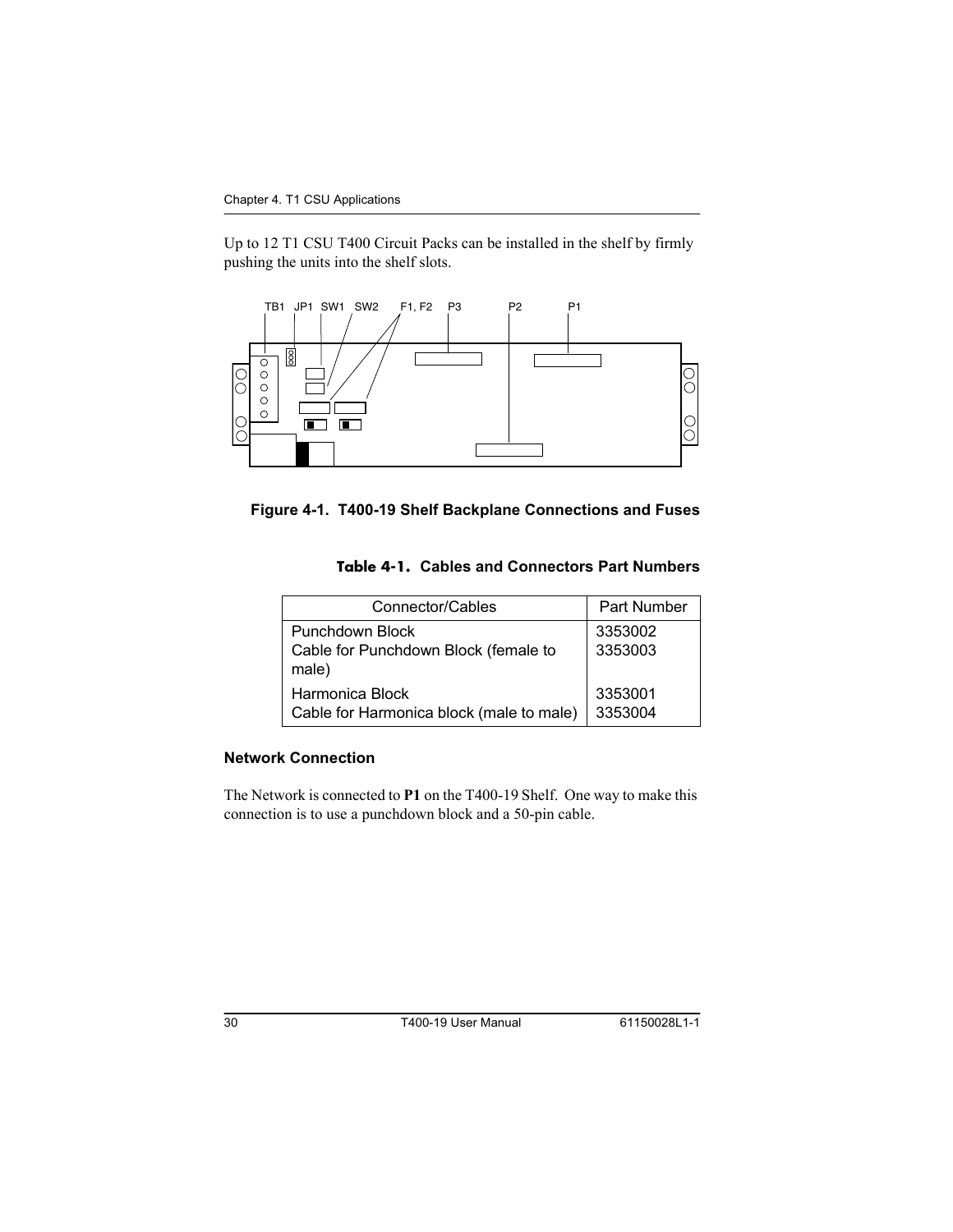Up to 12 T1 CSU T400 Circuit Packs can be installed in the shelf by firmly pushing the units into the shelf slots.



<span id="page-29-2"></span><span id="page-29-1"></span>

#### <span id="page-29-6"></span><span id="page-29-3"></span>Table 4-1. Cables and Connectors Part Numbers

<span id="page-29-7"></span><span id="page-29-4"></span>

| Connector/Cables                                                        | <b>Part Number</b> |
|-------------------------------------------------------------------------|--------------------|
| <b>Punchdown Block</b><br>Cable for Punchdown Block (female to<br>male) | 3353002<br>3353003 |
| Harmonica Block<br>Cable for Harmonica block (male to male)             | 3353001<br>3353004 |

#### <span id="page-29-5"></span><span id="page-29-0"></span>**Network Connection**

The Network is connected to P1 on the T400-19 Shelf. One way to make this connection is to use a punchdown block and a 50-pin cable.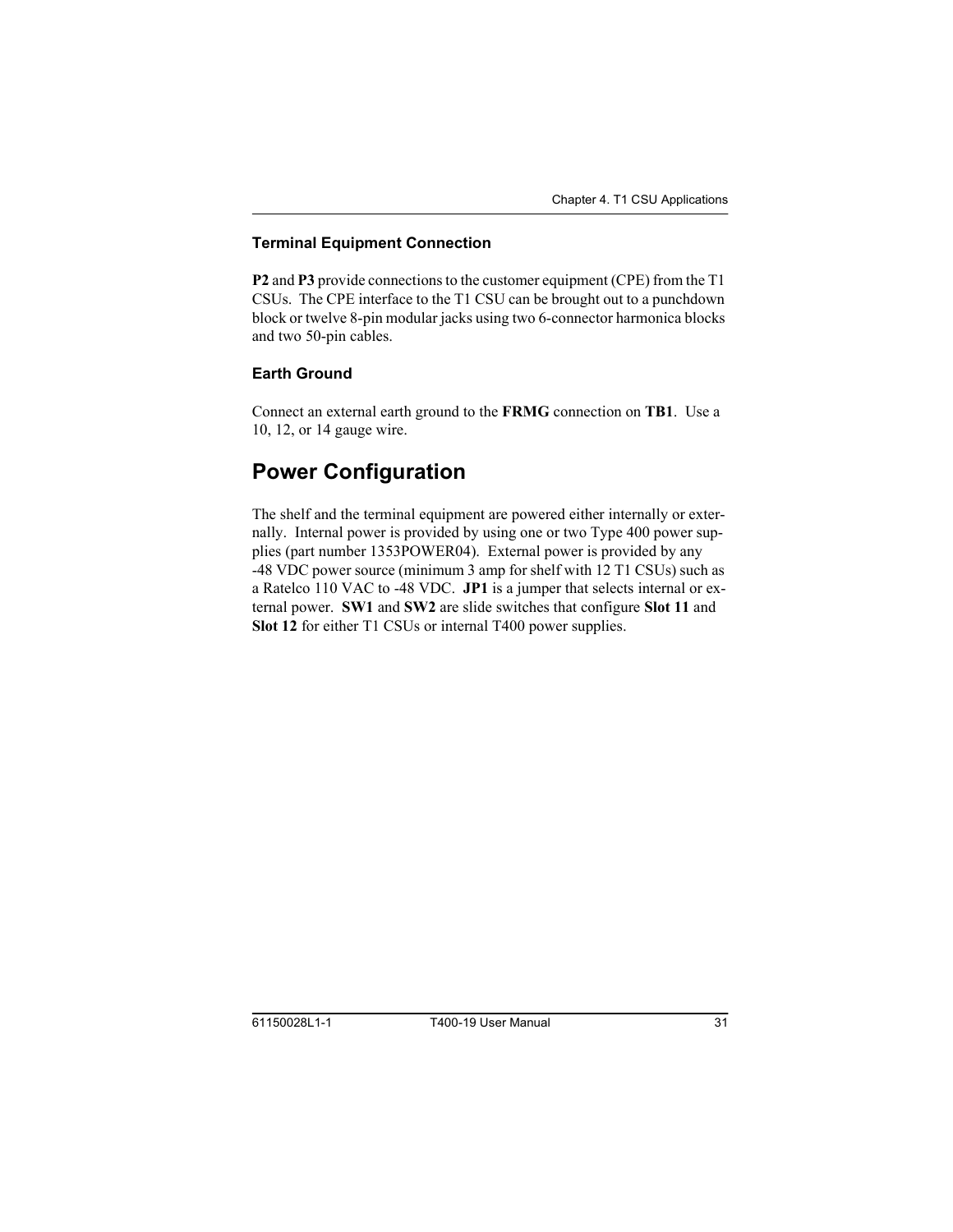#### <span id="page-30-4"></span><span id="page-30-0"></span>**Terminal Equipment Connection**

**P2** and **P3** provide connections to the customer equipment (CPE) from the T1 CSUs. The CPE interface to the T1 CSU can be brought out to a punchdown block or twelve 8-pin modular jacks using two 6-connector harmonica blocks and two 50-pin cables.

#### <span id="page-30-1"></span>**Earth Ground**

<span id="page-30-3"></span>Connect an external earth ground to the **FRMG** connection on **TB1**. Use a 10, 12, or 14 gauge wire.

## <span id="page-30-2"></span>**Power Configuration**

The shelf and the terminal equipment are powered either internally or externally. Internal power is provided by using one or two Type 400 power supplies (part number 1353POWER04). External power is provided by any -48 VDC power source (minimum 3 amp for shelf with 12 T1 CSUs) such as a Ratelco 110 VAC to -48 VDC. **JP1** is a jumper that selects internal or external power. **SW1** and **SW2** are slide switches that configure **Slot 11** and **Slot 12** for either T1 CSUs or internal T400 power supplies.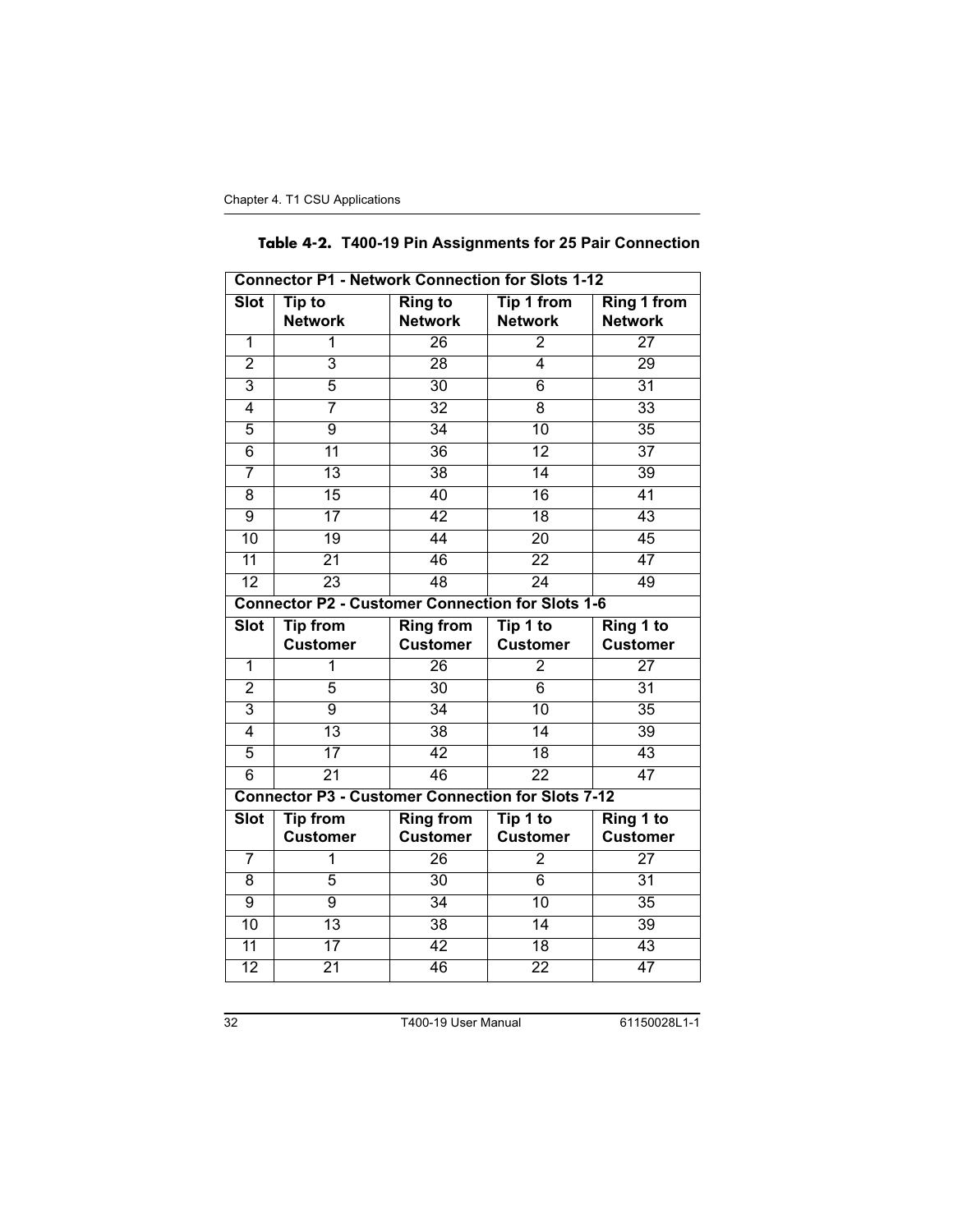|  |  |  |  | Table 4-2. T400-19 Pin Assignments for 25 Pair Connection |
|--|--|--|--|-----------------------------------------------------------|
|--|--|--|--|-----------------------------------------------------------|

<span id="page-31-0"></span>

| <b>Connector P1 - Network Connection for Slots 1-12</b>  |                                                         |                                  |                                     |                                      |  |  |
|----------------------------------------------------------|---------------------------------------------------------|----------------------------------|-------------------------------------|--------------------------------------|--|--|
| <b>Slot</b>                                              | Tip to<br><b>Network</b>                                | <b>Ring to</b><br><b>Network</b> | <b>Tip 1 from</b><br><b>Network</b> | <b>Ring 1 from</b><br><b>Network</b> |  |  |
| $\overline{1}$                                           | 1                                                       | $\overline{26}$                  | $\overline{2}$                      | $\overline{27}$                      |  |  |
| $\overline{2}$                                           | $\overline{3}$                                          | 28                               | 4                                   | 29                                   |  |  |
| $\overline{3}$                                           | 5                                                       | $\overline{30}$                  | $\overline{6}$                      | $\overline{31}$                      |  |  |
| 4                                                        | 7                                                       | $\overline{32}$                  | 8                                   | $\overline{33}$                      |  |  |
| 5                                                        | $\overline{9}$                                          | 34                               | 10                                  | $\overline{35}$                      |  |  |
| 6                                                        | $\overline{11}$                                         | $\overline{36}$                  | $\overline{12}$                     | $\overline{37}$                      |  |  |
| 7                                                        | $\overline{13}$                                         | $\overline{38}$                  | $\overline{14}$                     | $\overline{39}$                      |  |  |
| 8                                                        | 15                                                      | 40                               | $\overline{16}$                     | 41                                   |  |  |
| $\overline{9}$                                           | $\overline{17}$                                         | 42                               | $\overline{18}$                     | 43                                   |  |  |
| 10                                                       | $\overline{19}$                                         | 44                               | $\overline{20}$                     | 45                                   |  |  |
| $\overline{11}$                                          | $\overline{21}$                                         | 46                               | $\overline{22}$                     | 47                                   |  |  |
| $\overline{12}$                                          | $\overline{23}$                                         | 48                               | $\overline{24}$                     | 49                                   |  |  |
|                                                          | <b>Connector P2 - Customer Connection for Slots 1-6</b> |                                  |                                     |                                      |  |  |
| <b>Slot</b>                                              | <b>Tip from</b>                                         | <b>Ring from</b>                 | Tip 1 to                            | Ring 1 to                            |  |  |
|                                                          | <b>Customer</b>                                         | <b>Customer</b>                  | <b>Customer</b>                     | <b>Customer</b>                      |  |  |
| $\overline{1}$                                           | 1                                                       | $\overline{26}$                  | $\overline{2}$                      | $\overline{27}$                      |  |  |
| $\overline{2}$                                           | 5                                                       | $\overline{30}$                  | $\overline{6}$                      | $\overline{31}$                      |  |  |
| 3                                                        | $\overline{9}$                                          | 34                               | 10                                  | 35                                   |  |  |
| 4                                                        | $\overline{13}$                                         | $\overline{38}$                  | $\overline{14}$                     | $\overline{39}$                      |  |  |
| 5                                                        | $\overline{17}$                                         | 42                               | 18                                  | 43                                   |  |  |
| $\overline{6}$                                           | $\overline{21}$                                         | 46                               | $\overline{22}$                     | 47                                   |  |  |
| <b>Connector P3 - Customer Connection for Slots 7-12</b> |                                                         |                                  |                                     |                                      |  |  |
| <b>Slot</b>                                              | <b>Tip from</b>                                         | <b>Ring from</b>                 | Tip 1 to                            | Ring 1 to                            |  |  |
|                                                          | <b>Customer</b>                                         | <b>Customer</b>                  | <b>Customer</b>                     | <b>Customer</b>                      |  |  |
| 7                                                        | 1                                                       | $\overline{26}$                  | $\overline{2}$                      | $\overline{27}$                      |  |  |
| $\overline{8}$                                           | 5                                                       | $\overline{30}$                  | $\overline{6}$                      | $\overline{31}$                      |  |  |
| 9                                                        | $\overline{9}$                                          | 34                               | $\overline{10}$                     | $\overline{35}$                      |  |  |
| $\overline{10}$                                          | $\overline{13}$                                         | $\overline{38}$                  | $\overline{14}$                     | $\overline{39}$                      |  |  |
| $\overline{11}$                                          | $\overline{17}$                                         | 42                               | $\overline{18}$                     | 43                                   |  |  |
| $\overline{12}$                                          | $\overline{21}$                                         | 46                               | $\overline{22}$                     | 47                                   |  |  |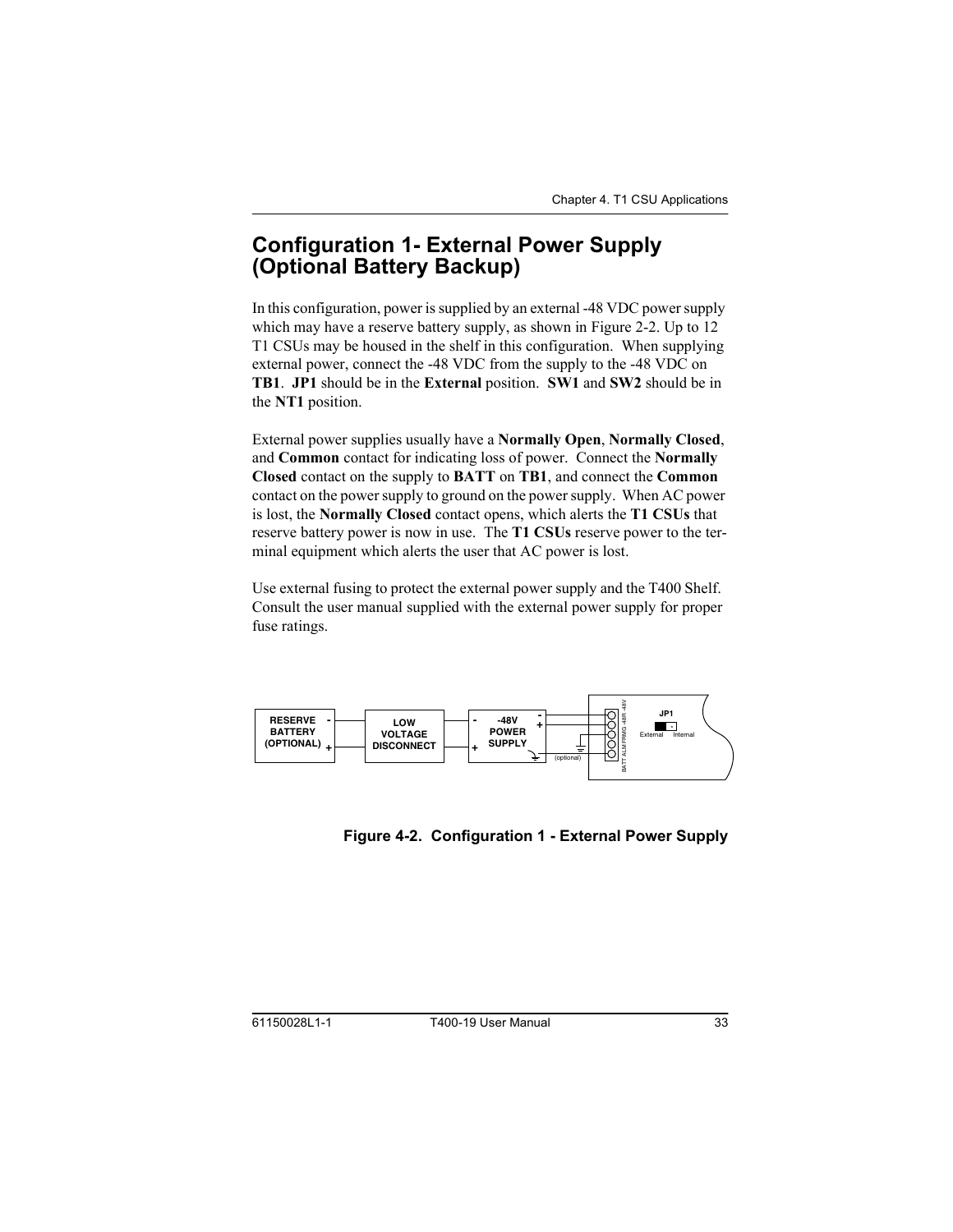## <span id="page-32-2"></span><span id="page-32-0"></span>**Configuration 1- External Power Supply** (Optional Battery Backup)

<span id="page-32-4"></span><span id="page-32-3"></span>In this configuration, power is supplied by an external -48 VDC power supply which may have a reserve battery supply, as shown in Figure 2-2. Up to 12 T1 CSUs may be housed in the shelf in this configuration. When supplying external power, connect the -48 VDC from the supply to the -48 VDC on **TB1**. **JP1** should be in the **External** position. **SW1** and **SW2** should be in the **NT1** position.

External power supplies usually have a **Normally Open**, **Normally Closed**, and **Common** contact for indicating loss of power. Connect the **Normally Closed** contact on the supply to **BATT** on **TB1**, and connect the **Common** contact on the power supply to ground on the power supply. When AC power is lost, the **Normally Closed** contact opens, which alerts the **T1 CSUs** that reserve battery power is now in use. The **T1 CSUs** reserve power to the terminal equipment which alerts the user that AC power is lost.

Use external fusing to protect the external power supply and the T400 Shelf. Consult the user manual supplied with the external power supply for proper fuse ratings.



<span id="page-32-1"></span>Figure 4-2. Configuration 1 - External Power Supply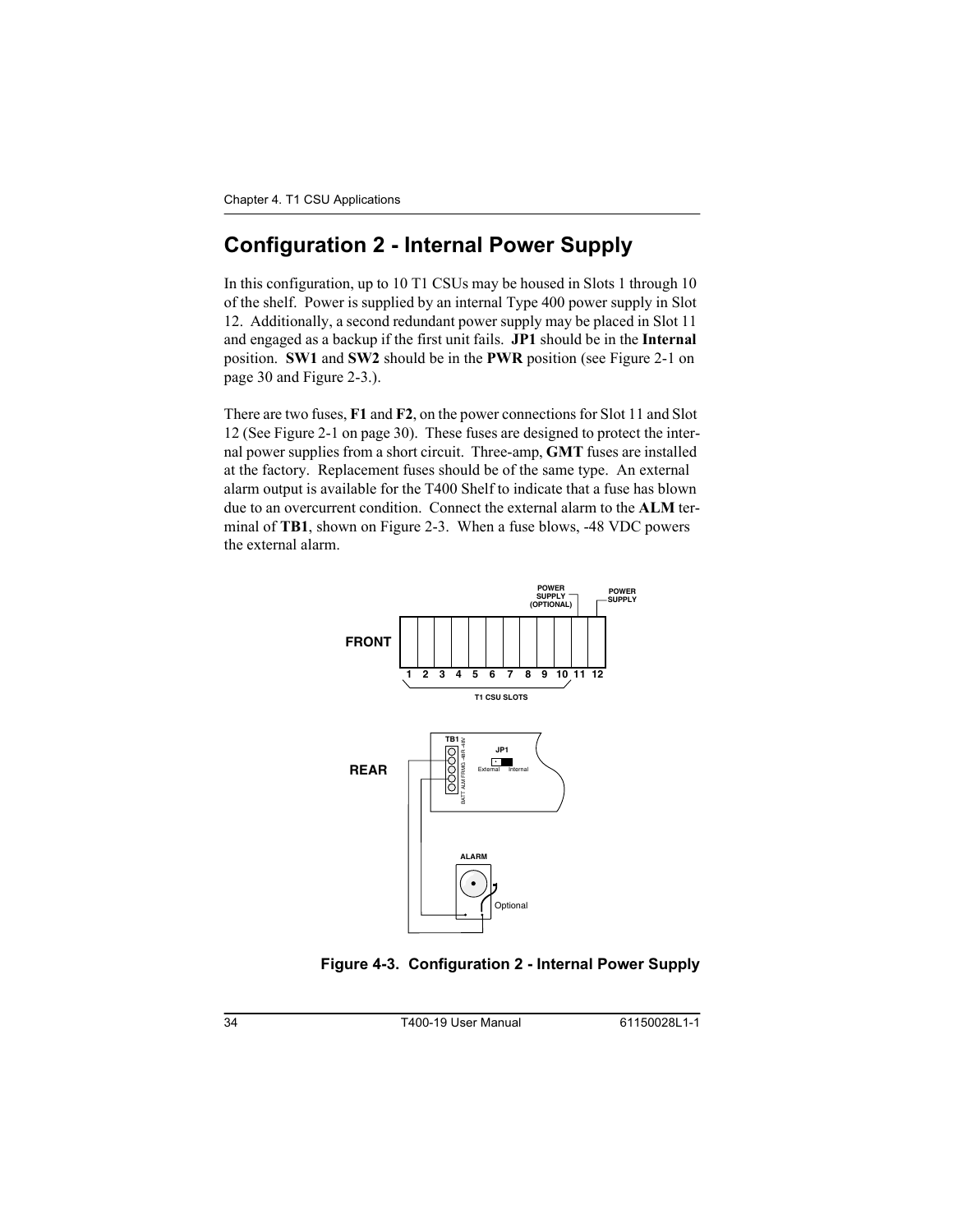## <span id="page-33-2"></span><span id="page-33-0"></span>**Configuration 2 - Internal Power Supply**

<span id="page-33-5"></span><span id="page-33-4"></span><span id="page-33-3"></span>In this configuration, up to 10 T1 CSUs may be housed in Slots 1 through 10 of the shelf. Power is supplied by an internal Type 400 power supply in Slot 12. Additionally, a second redundant power supply may be placed in Slot 11 and engaged as a backup if the first unit fails. **JP1** should be in the **Internal** position. **SW1** and **SW2** should be in the **PWR** position (see Figure 2-1 on [page 30](#page-29-1) and Figure 2-3.).

There are two fuses, **F1** and **F2**, on the power connections for Slot 11 and Slot 12 (See Figure 2-1 on [page 30\)](#page-29-1). These fuses are designed to protect the internal power supplies from a short circuit. Three-amp, **GMT** fuses are installed at the factory. Replacement fuses should be of the same type. An external alarm output is available for the T400 Shelf to indicate that a fuse has blown due to an overcurrent condition. Connect the external alarm to the **ALM** terminal of **TB1**, shown on Figure 2-3. When a fuse blows, -48 VDC powers the external alarm.



<span id="page-33-1"></span>Figure 4-3. Configuration 2 - Internal Power Supply